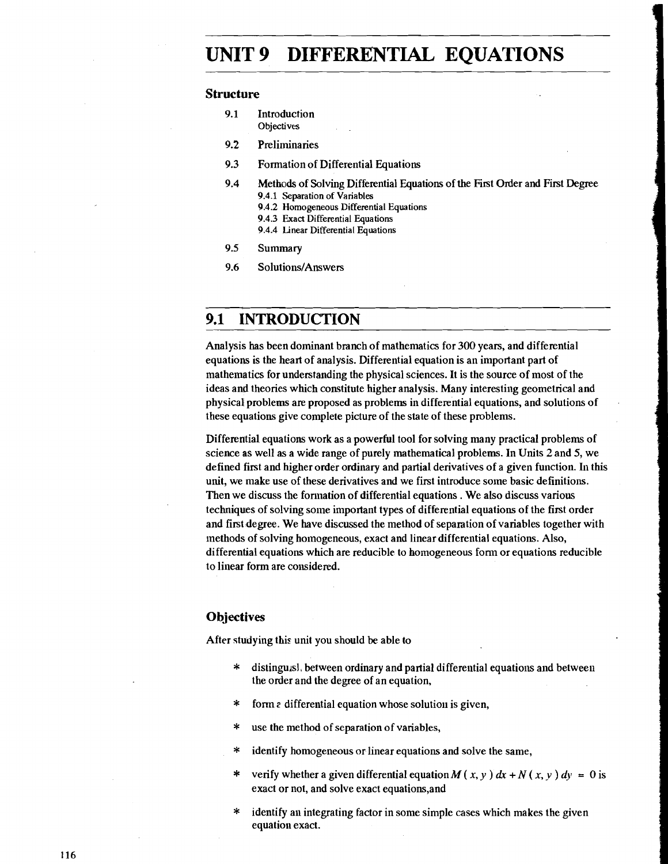## **UNIT 9 DIFFERENTIAL EQUATIONS**

#### **Structure**

- 9.1 Introduction **Objectives**
- 9.2 Preliminaries
- **9.3** Formation of Differential Equations
- **9.4** Methods of Solving Differential Equations of the First Order and First Degree **9.4.1** Separation of Variables
	- **9.4.2** Homogeneous Differential Equations
	- **9.4.3** Exact Differential Equations
	- **9.4.4** Linear Differential Equations
- **9.5** Summary
- 9.6 Solutions/Answers

#### **9.1 INTRODUCTION**

Analysis has been dominant branch of mathematics for **300** years, and differential equations is the heart of analysis. Differential equation is an important part of mathematics for understanding the physical sciences. It is the source of most of the ideas and theories which constitute higher analysis. Many interesting geometrical and physical problems are proposed as problems in differential equations, and solutions of these equations give complete picture of the state of these problems.

Differential equations work as a powerful tool for solving many practical problems of science as well as a wide range of purely mathematical problems. In Units 2 and 5, we defined first and higher order ordinary and partial derivatives of a given function. In this unit, we make use of these derivatives and we first introduce some basic definitions. Then we discuss the formation of differential equations . We also discuss various techniques of solving some important types of differential equations of the first order and first degree. We have discussed the method of separation of variables together with methods of solving homogeneous, exact and linear differential equations. Also, differential equations which are reducible to homogeneous fonn or equations reducible to linear form are considered.

#### **Objectives**

After studying this unit you should be able to

- $*$  distingu<sub>isl</sub>, between ordinary and partial differential equations and between the order and the degree of an equation,
- \* form a differential equation whose solution is given,
- \* use the method of separation of variables,
- \* identify homogeneous or linear equations and solve the same,
- \* verify whether a given differential equation  $M(x, y) dx + N(x, y) dy = 0$  is exact or not, and solve exact equations,and
- \* identify an integrating factor in some simple cases which makes the given equation exact.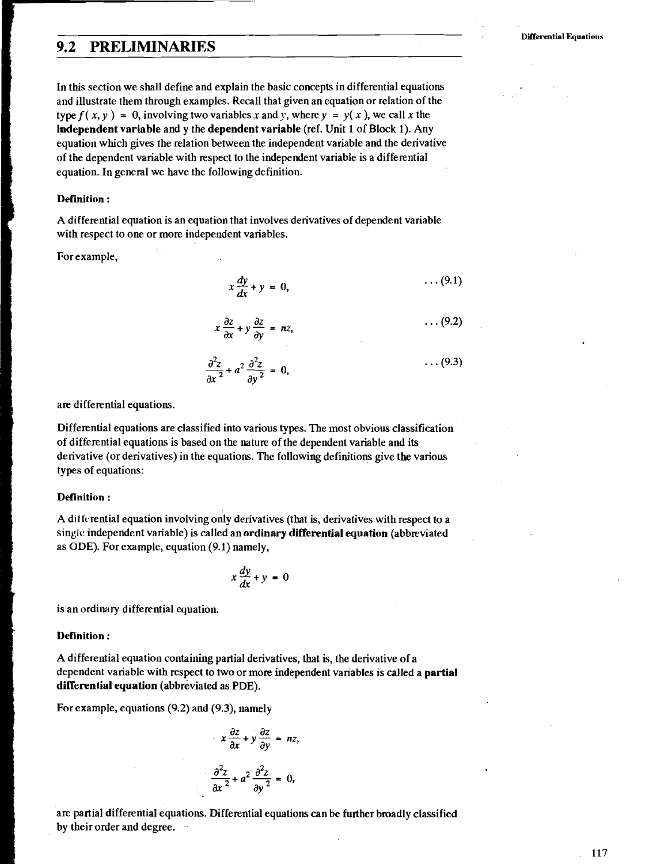#### **9.2 PRELIMINARIES**

In this section we shall define and explain the basic concepts in differential equations and illustrate them through examples. Recall that given an equation or relation of the type  $f(x, y) = 0$ , involving two variables x and y, where  $y = y(x)$ , we call x the **independent variable** and y the **dependent variable** (ref. Unit 1 of Block 1). Any equation which gives the relation between the independent variable and the derivative of the dependent variable with respect to the independent variable is a differential equation. In general we have the following definition.

#### **Definition** :

A differential equation is an equation that involves derivatives of dependent variable with respect to one or more independent variables.

For example,

$$
x\frac{dy}{dx} + y = 0, \qquad \qquad \cdots (9.1)
$$

$$
x\frac{\partial z}{\partial x} + y\frac{\partial z}{\partial y} = nz, \qquad \qquad \ldots (9.2)
$$

$$
\frac{\partial^2 z}{\partial x^2} + a^2 \frac{\partial^2 z}{\partial y^2} = 0, \qquad (9.3)
$$

are differential equations.

Differential equations are classified into various types. The most obvious classification of differential equations is based on the nature of the dependent variable and its derivative (or derivatives) in the equations. The following definitions give the various types of equations:

#### **Definition** :

A di1 fcrential equation involving only derivatives (that is, derivatives with respect to a single independent variable) is called an **ordinary differential equation** (abbreviated as **ODE).** For example, equation (9.1) namely,

$$
x\frac{dy}{dx} + y = 0
$$

is an ordinary differential equation.

#### **Definition** :

A differential equation containing partial derivatives, that is, the derivative of a dependent variable with respect to two or more independent variables is called a **partial differential equation** (abbreviated as PDE).

For example, equations (9.2) and (9.3), namely

$$
x \frac{\partial z}{\partial x} + y \frac{\partial z}{\partial y} = nz,
$$
  

$$
\frac{\partial^2 z}{\partial x^2} + a^2 \frac{\partial^2 z}{\partial y^2} = 0,
$$

are partial differential equations. Differential equations can be further broadly classified by their order and degree.

117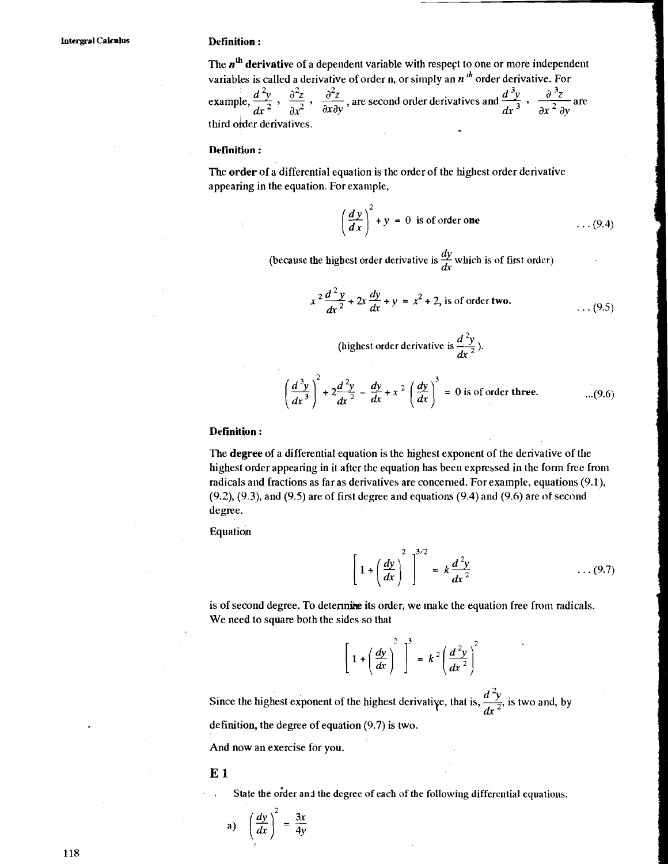The  $n<sup>th</sup>$  derivative of a dependent variable with respect to one or more independent variables is called a derivative of order n, or simply an *n*<sup>th</sup> order derivative. For example,  $\frac{d^2y}{dx^2}$ ,  $\frac{\partial^2z}{\partial x^2}$ ,  $\frac{\partial^2z}{\partial x \partial y}$ , are second order derivatives and  $\frac{d^3y}{dx^3}$ ,  $\frac{\partial^3z}{\partial x^2 \partial y}$ **Definition :**<br>
The *n*<sup>th</sup> derivative of a dependent variable with respect to one or more indeper<br>
variables is called a derivative of order n, or simply an *n*<sup>th</sup> order derivative. Fo<br>
example,  $\frac{d^2y}{dx^2}$ ,  $\frac{\partial^2z$  $\frac{d^2y}{dx^2}$ ,  $\frac{d^2z}{dx^2}$ ,  $\frac{d^2z}{dx^2}$ , are second order derivatives and  $\frac{d^2y}{dx^3}$ ,  $\frac{d^2z}{dx^2}$  are third order derivatives.

#### Definition:

The order of a differential equation is the order of the highest order derivative appearing in the equation. For example,

$$
\left(\frac{dy}{dx}\right)^2 + y = 0
$$
 is of order one (9.4)

(because the highest order derivative is  $\frac{dy}{dx}$  which is of first order)

$$
x^{2}\frac{d^{2}y}{dx^{2}} + 2x\frac{dy}{dx} + y = x^{2} + 2
$$
, is of order two. (9.5)

(highest order derivative is  $\frac{d^2y}{dx^2}$ ).

$$
\left(\frac{d^3y}{dx^3}\right)^2 + 2\frac{d^2y}{dx^2} - \frac{dy}{dx} + x^2 \left(\frac{dy}{dx}\right)^3 = 0
$$
 is of order three. \t...(9.6)

#### **Definition** :

The degree of a differential equation is the highest exponent of the derivative of the highest order appearing in it after the equation has been expressed in the form free from radicals and fractions as far as derivatives are concerned. For example, equations **(9.1),**  (9.2), **(9.3),** and (9.5) are of first degree and equations (9.4) and (9.6) are of second degree.

Equation

$$
\left[1+\left(\frac{dy}{dx}\right)^2\right]^{3/2} = k\frac{d^2y}{dx^2} \qquad \qquad \dots (9.7)
$$

is of second degree. To determine its order, we make the equation free from radicals. We need to square both the sides so that

$$
\left[1+\left(\frac{dy}{dx}\right)^2\right]^3 = k^2\left(\frac{d^2y}{dx^2}\right)^2
$$

Since the highest exponent of the highest derivative, that is,  $\frac{d^2y}{dr^2}$  is two and, by definitian, the degree of equation (9.7) is two.

And now an exercise for you.

**E 1** 

State the order and the degree of each of the following differential equations.

a) 
$$
\left(\frac{dy}{dx}\right)^2 = \frac{3x}{4y}
$$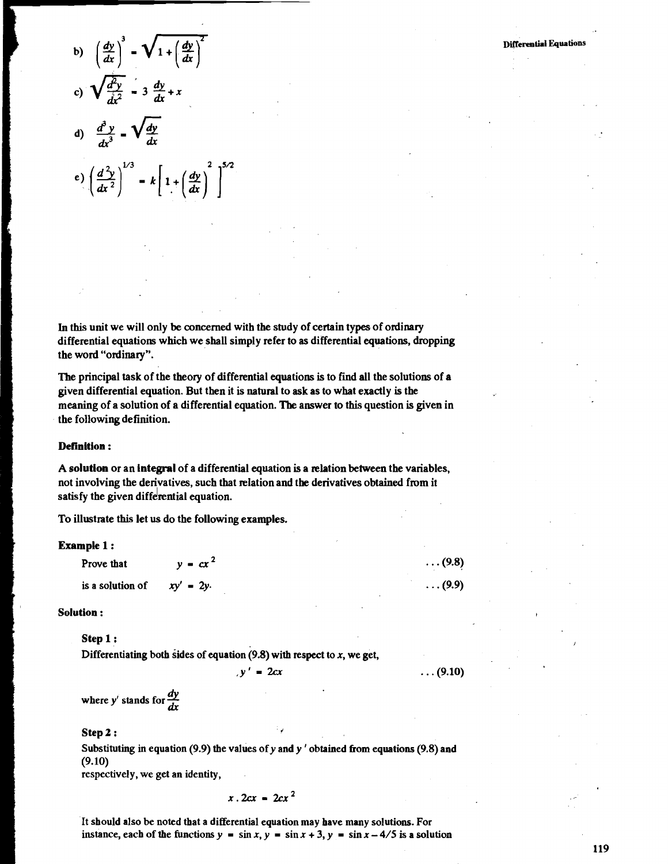b) 
$$
\left(\frac{dy}{dx}\right)^3 - \sqrt{1 + \left(\frac{dy}{dx}\right)^2}
$$
  
\nc)  $\sqrt{\frac{d^2y}{dx^2}} - 3 \frac{dy}{dx} + x$   
\nd)  $\frac{d^3y}{dx^3} - \sqrt{\frac{dy}{dx}}$   
\ne)  $\left(\frac{d^2y}{dx^2}\right)^{1/3} - k \left[1 + \left(\frac{dy}{dx}\right)^2\right]^{5/2}$ 

In this unit we will only be concerned with the study of certain types of ordinary differential equations which we shall simply refer to as differential equations, dropping the word "ordinary".

The principal task of the theory of differential equations is to find all the solutions of a given differential equation. But then it is natural to ask as to what exactly is the **rn** meaning of a solution of a differential equation. **Tbe** answer to this question is given in the following definition.

#### **Definition** :

**A solution** or an **integral** of a differential equation is a mlation between the variables, **I** not involving the derivatives, such that relation and the derivatives obtained from it satisfy the given differential equation.

To illustrate this let us do the following examples.

#### Example 1 :

| <b>Prove that</b>             | $y = cx^2$ | $\ldots$ (9.8) |
|-------------------------------|------------|----------------|
| is a solution of $xy' = 2y$ . |            | $\ldots$ (9.9) |

#### **Solution** :

**Step <sup>1</sup>**:

Differentiating both sides of equation  $(9.8)$  with respect to x, we get,

 $y' = 2cx$  ...  $(9.10)$ 

where  $y'$  stands for  $\frac{dy}{dx}$ 

## **Step 2** : *'6*

Substituting in equation **(9.9)** the values of **y** and **y** ' obtained from equations **(9.8)** and **(9.10)** 

respectively, we get an identity,

 $x \cdot 2cx = 2cx^2$ 

It should also be noted that a differential equation may have many solutions. For instance, each of the functions  $y = \sin x$ ,  $y = \sin x + 3$ ,  $y = \sin x - 4/5$  is a solution **Differential Equations**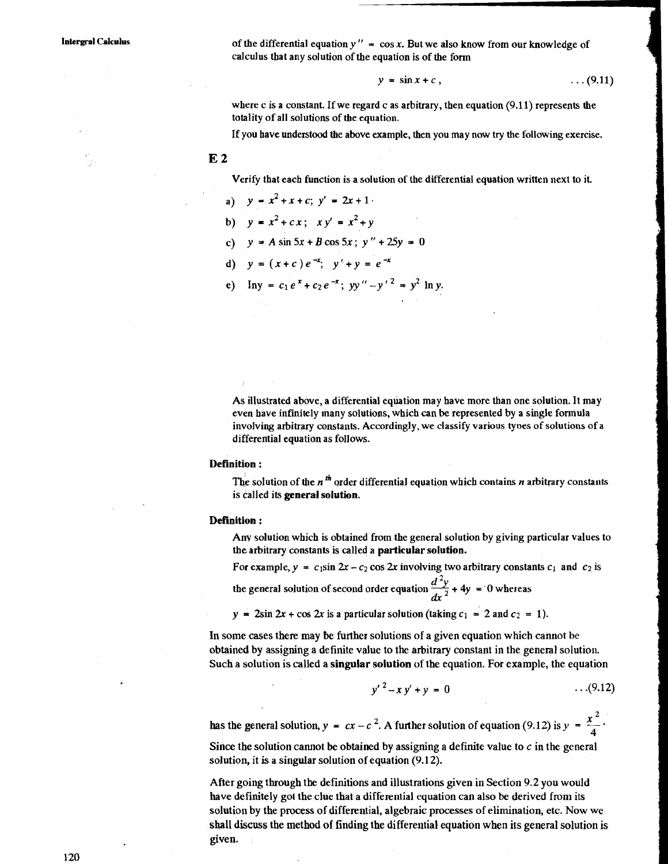**Intergral Calculus are in the differential equation**  $y'' = \cos x$ **. But we also know from our knowledge of** calculus that any solution of the equation is of the form

 $\mathbf{v}$ 

$$
= \sin x + c \,, \tag{9.11}
$$

where c is a constant. If we regard c as arbitrary, then equation  $(9.11)$  represents the totality of all solutions of the equation.

If you have understood the above example, then you may now try the following exercise.

**E2** 

Verify that each function is a solution of the differential equation written next to it.

a) 
$$
y = x^2 + x + c
$$
;  $y' = 2x + 1$ 

- b)  $y = x^2 + cx$ ;  $xy' = x^2 + y$
- c)  $y = A \sin 5x + B \cos 5x$ ;  $y'' + 25y = 0$
- d)  $y = (x+c)e^{-x}$ ;  $y'+y = e^{-x}$
- e) Iny =  $c_1e^x + c_2e^{-x}$ ; yy" -y'<sup>2</sup> = y<sup>2</sup> ln y.

As illustrated above, a differential equation may have more than one solution. It may even have infinitely many solutions, which can be represented by a single formula involving arbitrary constants. Accordingly, we classify various types of solutions of a differential equation as follows.

#### **Definition:**

The solution of the  $n^{th}$  order differential equation which contains  $n$  arbitrary constants is called its **general solution.** 

#### **Definition** :

Anv solution which is obtained from the general solution by giving particular values to the arbitrary constants is called a **particular solution.** 

For example,  $y = c_1 \sin 2x - c_2 \cos 2x$  involving two arbitrary constants  $c_1$  and  $c_2$  is

the general solution of second order equation  $\frac{d^2y}{dx^2}$  + 4y = 0 whereas

 $y = 2\sin 2x + \cos 2x$  is a particular solution (taking  $c_1 = 2$  and  $c_2 = 1$ ).

In some cases there may be further solutions of a given equation which cannot be obtained by assigning a definite value to the arbitrary constant in the general solution. Such a solution is called a **singular solution** of the equation. For example, the equation

$$
x^2 - xy' + y = 0 \qquad \qquad \dots (9.12)
$$

 $y' - xy' + y = 0$  ...(9.1<br>has the general solution,  $y = cx - c^2$ . A further solution of equation (9.12) is  $y = \frac{x^2}{4}$ .

Since the solution cannot be obtained by assigning a definite value to  $c$  in the general solution, it is a singular solution of equation (9.12).

After going through the definitions and illustrations given in Section 9.2 you would have definitely got the clue that a differential equation can also be derived from its solution by the process of differential, algebraic processes of elimination, etc. Now we shall discuss the method of finding the differential equation when its general solution is given.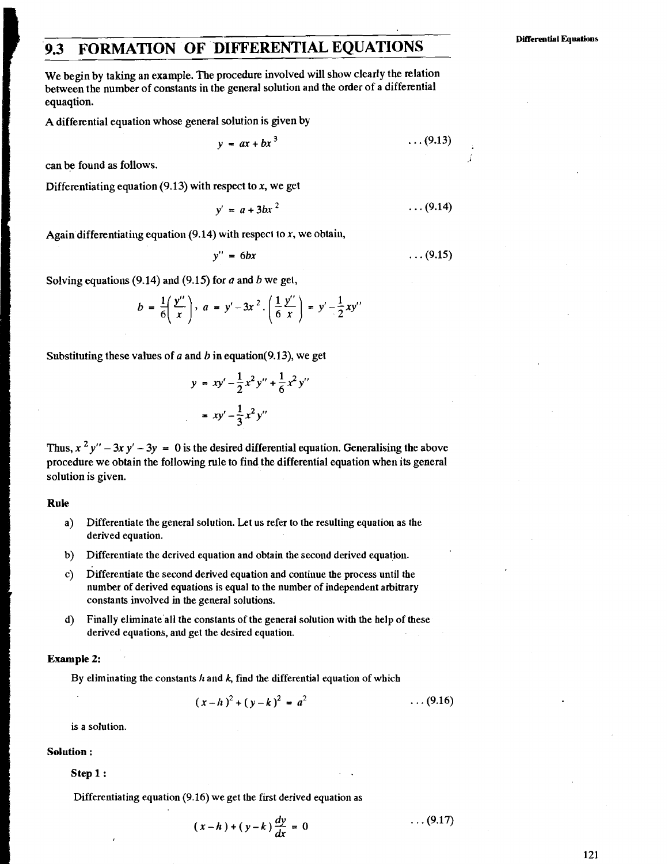# $\frac{1}{2}$ **9.3 FORMATION OF DIFFERENTIAL EQUATIONS**

We begin by taking an example. The procedure involved will show clearly the relation between the number of constants in the general solution and the order of a differential equaqtion.

A differential equation whose general solution is given by

$$
y = ax + bx^3 \qquad \qquad \ldots (9.13)
$$

can be found as follows.

Differentiating equation (9.13) with respect to  $x$ , we get

$$
y' = a + 3bx^2 \qquad \qquad \ldots (9.14)
$$

Again differentiating equation (9.14) with respect to x, we obtain,

$$
y'' = 6bx \qquad \qquad \dots (9.15)
$$

Solving equations (9.14) and (9.15) for  $a$  and  $b$  we get,

$$
b = \frac{1}{6} \left( \frac{y''}{x} \right), \quad a = y' - 3x^2 \cdot \left( \frac{1}{6} \frac{y''}{x} \right) = y' - \frac{1}{2} xy''
$$

Substituting these values of a and **b** in equation(9.13), we get

$$
y = xy' - \frac{1}{2}x^2y'' + \frac{1}{6}x^2y''
$$
  
=  $xy' - \frac{1}{3}x^2y''$ 

Thus,  $x^2y'' - 3xy' - 3y = 0$  is the desired differential equation. Generalising the above procedure we obtain the following rule to find the differential equation when its general solution is given.

#### **Rule**

- a) Differentiate the general solution. Let us refer to the resulting equation as the derived equation.
- b) Differentiate the derived equation and obtain the second derived equation.
- c) Differentiate the second derived equation and continue the process until the number of derived equations is equal to the number of independent arbitrary constants involved in the general solutions.
- d) Finally eliminate'all the constants of the general solution with the help of these derived equations, and get the desired equation.

#### **Example 2:**

By eliminating the constants  $h$  and  $k$ , find the differential equation of which

$$
(x-h)^2 + (y-k)^2 = a^2 \qquad \qquad \ldots (9.16)
$$

is a solution.

#### **Solution** :

**Step 1** :

Differentiating equation (9.16) we get the first derived equation as

$$
(x-h)+(y-k)\frac{dy}{dx}=0 \qquad \qquad \ldots (9.17)
$$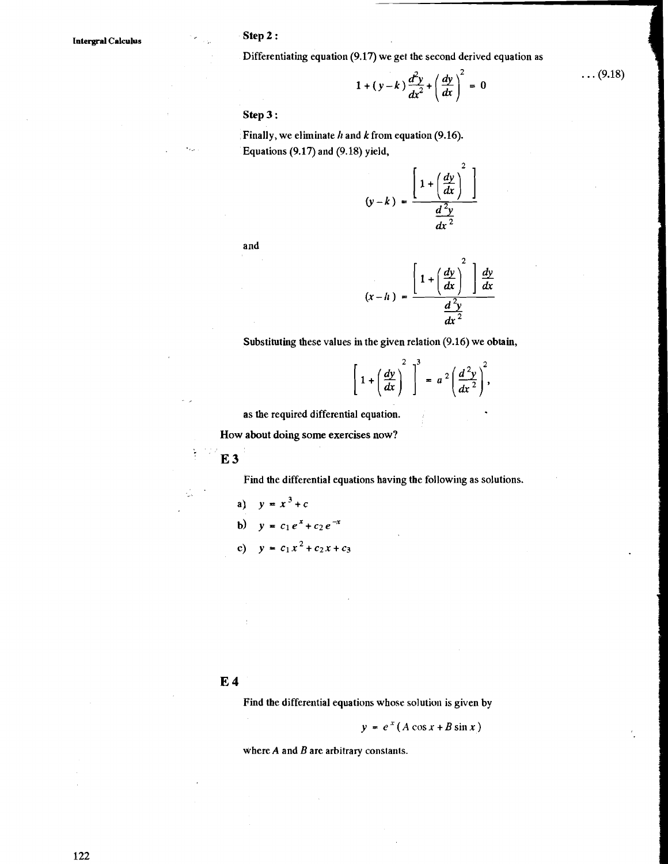Differentiating equation (9.17) we get the second derived equation as

$$
1 + (y-k)\frac{d^2y}{dx^2} + \left(\frac{dy}{dx}\right)^2 = 0
$$

 $\ldots$  (9.18)

**Step 3** :

Finally, we eliminate *h* and *k* from equation (9.16). Equations (9.17) and (9.18) yield,

$$
(y-k) = \frac{\left[1 + \left(\frac{dy}{dx}\right)^2\right]}{\frac{d^2y}{dx^2}}
$$

and

$$
(x-h) = \frac{\left[1+\left(\frac{dy}{dx}\right)^2\right]\frac{dy}{dx}}{\frac{d^2y}{dx^2}}
$$

Substituting these values in the given relation (9.16) we obtain,

$$
\left[1+\left(\frac{dy}{dx}\right)^2\right]^3 = a^2\left(\frac{d^2y}{dx^2}\right)^2,
$$

as the required differential equation.

How about doing **some exercises** now?

**E3** 

ķ

C,

Find the differential equations having the following as solutions.

a) 
$$
y = x^3 + c
$$
  
\nb)  $y = c_1 e^x + c_2 e^{-x}$   
\nc)  $y = c_1 x^2 + c_2 x + c_3$ 

#### **E4**

Find the differential equations whose solution is given by

 $y = e^x (A \cos x + B \sin x)$ 

where  $A$  and  $B$  are arbitrary constants.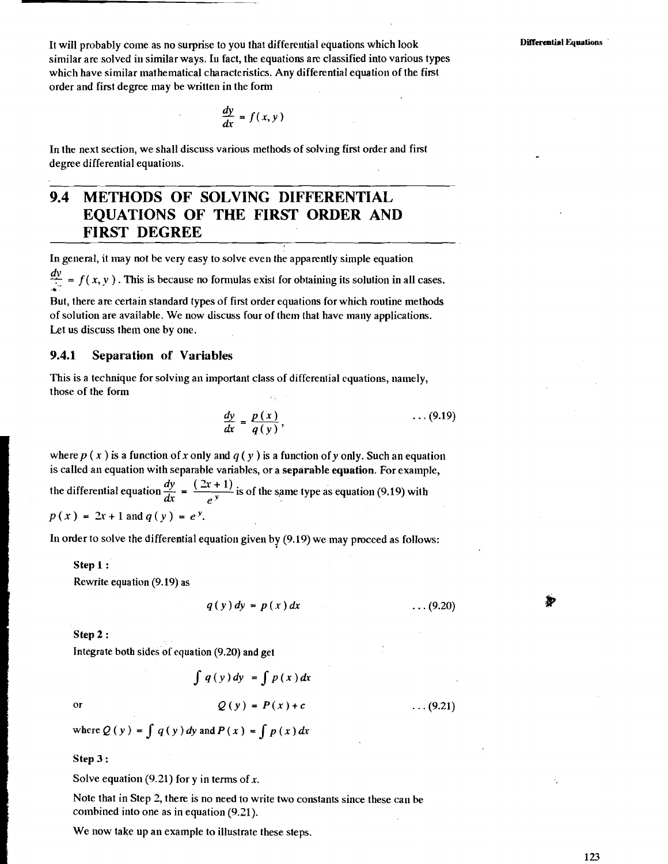It will probably come as no surprise to you that differeutial equations which look similar are solved in similar ways. In fact, the equations are classified into various types which have similar mathematical characteristics. Any differential equation of the first order and first degree may be written in the form

$$
\frac{dy}{dx} = f(x, y)
$$

In the next section, we shall discuss various methods of solving first order and first degree differential equations.

## **9.4 METHODS OF SOLVING DIFFERENTIAL EQUATIONS OF THE FIRST ORDER AND FIRST DEGREE**

In general, it inay not be very easy to solve even the apparently simple equation

 $\frac{dy}{dx}$  =  $f(x, y)$ . This is because no formulas exist for obtaining its solution in all cases.

But, there are certain standard types of first order equations for which routine methods of solution are available. We now discuss four of them that have many applications. Let us discuss them one by one.

#### **9.4.1 Separation of Variables**

This is a technique for solving an important class of differential equations, namely, those of the form

$$
\frac{dy}{dx} = \frac{p(x)}{q(y)}, \qquad \qquad \ldots (9.19)
$$

where  $p(x)$  is a function of x only and  $q(y)$  is a function of y only. Such an equation is called an equation with separable variables, or a **separable equation.** For example,

is called an equation with separable variables, or a **separable equation**. For example<br>the differential equation  $\frac{dy}{dx} = \frac{(2x+1)}{e^y}$  is of the same type as equation (9.19) with  $p(x) = 2x + 1$  and  $q(y) = e^{y}$ .

In order to solve the differential equation given by  $(9.19)$  we may proceed as follows:

**Step 1** :

Rewrite equation (9.19) as

$$
(y) dy = p(x) dx \qquad \qquad \ldots (9.20)
$$

#### **Step 2** :

Integrate both sides of equation (9.20) and get

$$
\int q(y) dy = \int p(x) dx
$$
  
Q(y) = P(x) + c ...(9.21)

 $\alpha$ 

where  $Q(y) = \int q(y) dy$  and  $P(x) = \int p(x) dx$ 

 $\boldsymbol{q}$ 

#### **Step 3** :

Solve equation (9.21) for y in terms of **x.** 

Note that in Step 2, there is no need to write two constants since these can be combined into one as in equation  $(9.21)$ .

We now take up an example to illustrate these steps.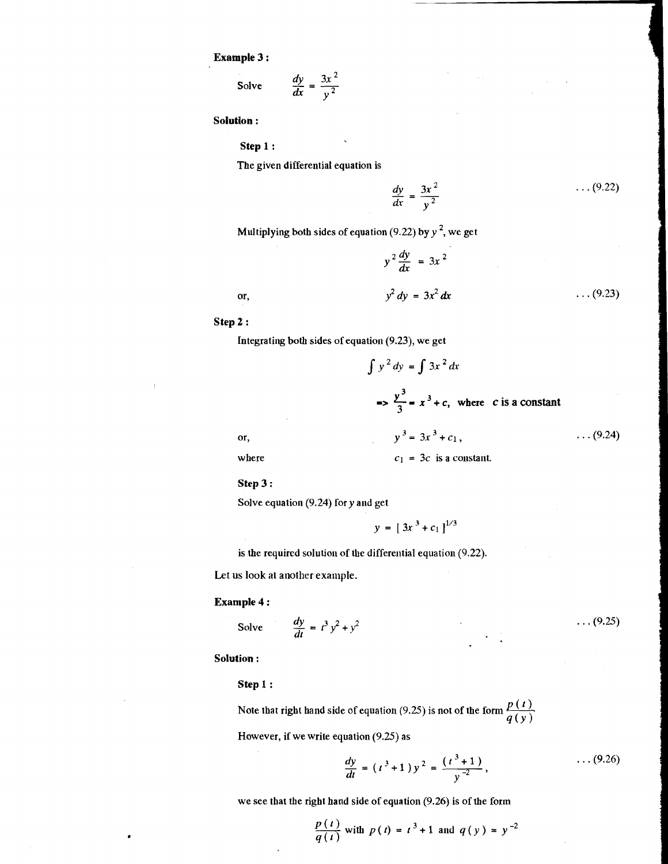**Example 3** :

$$
\text{Table 3:} \\
 \text{Solve} \qquad \frac{dy}{dx} = \frac{3x^2}{y^2}
$$

**Solution** :

**Step 1** :

The given differential equation is

$$
\frac{dy}{dx} = \frac{3x^2}{y^2} \qquad \qquad \ldots (9.22)
$$

Multiplying both sides of equation (9.22) by  $y^2$ , we get

$$
y^{2} \frac{dy}{dx} = 3x^{2}
$$
  

$$
y^{2} dy = 3x^{2} dx
$$
 ... (9.23)

**Step 2** :

or,

Integrating both sides of equation (9.23), we get

$$
\int y^2 dy = \int 3x^2 dx
$$
  
\n
$$
\Rightarrow \frac{y^3}{3} = x^3 + c, \text{ where } c \text{ is a constant}
$$
  
\nor,  
\n
$$
y^3 = 3x^3 + c_1, \qquad \dots (9.24)
$$
  
\nwhere  
\n
$$
c_1 = 3c \text{ is a constant.}
$$

**Step 3** :

Solve equation  $(9.24)$  for y and get

 $y = [3x^3 + c_1]^{1/3}$ 

is the required solution of the differential equation (9.22).

Let us look at another example.

#### **Example 4** :

$$
1 \text{ pole } 4:
$$
\n
$$
\text{Solve } \frac{dy}{dt} = t^3 y^2 + y^2
$$

Solution:

Step 1:

Note that right hand side of equation (9.25) is not of the form  $\frac{p(t)}{p(t)}$ .  $q(y)$ 

However, if we write equation (9.25) as

$$
\frac{dy}{dt} = (t^3 + 1) y^2 = \frac{(t^3 + 1)}{y^{-2}}, \qquad \qquad \ldots (9.26)
$$

we see that the right hand side of equation (9.26) is of the form

$$
\frac{p(t)}{q(t)}
$$
 with  $p(t) = t^3 + 1$  and  $q(y) = y^{-2}$ 

 $\ldots (9.25)$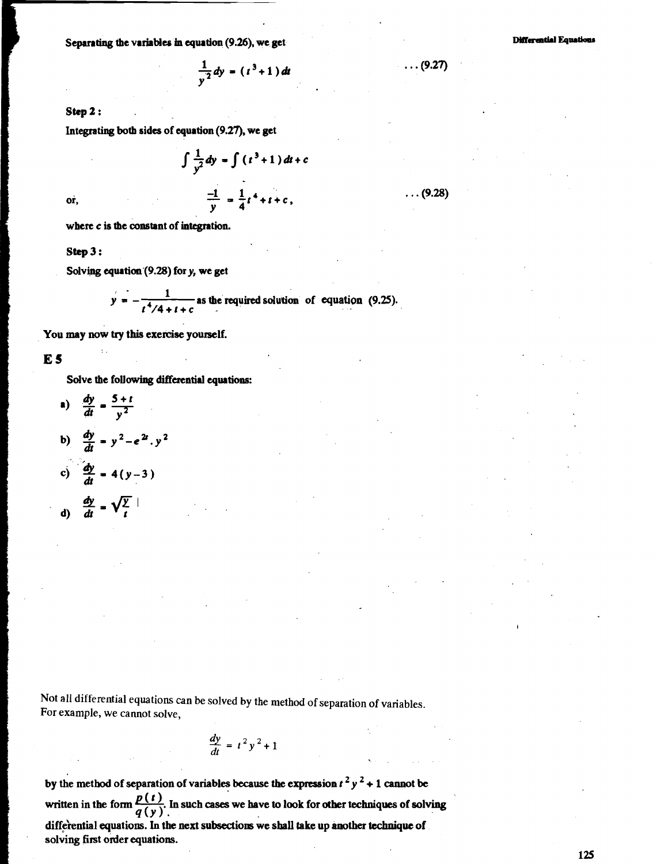Separating the variables in equation (9.26), we get<br>  $\frac{1}{v^2} dy = (t^3 + 1) dt$ 

**step** 2 :

Integrating both **ddes** of equation (9.27), we get

$$
\int \frac{1}{y^2} dy = \int (t^3 + 1) dt + c
$$
  

$$
\frac{-1}{y} = \frac{1}{4}t^4 + t + c,
$$

or.

where **c** is the constant of integration.

**step <sup>3</sup>**:

Solving equrtion.(9.28) for **y,** we get

$$
y = -\frac{1}{t^4/4 + t + c}
$$
 as the required solution of equation (9.25).

You may now try this exercise yourself.

**ES** 

Sdve the following **differential** equations:

a) 
$$
\frac{dy}{dt} = \frac{5+t}{y^2}
$$
  
b)  $\frac{dy}{dt} = y^2 - e^{2t} \cdot y^2$ 

c) 
$$
\frac{dy}{dt} = 4(y-3)
$$

$$
\frac{dy}{dt} = \sqrt{\frac{y}{t}}
$$

Not all differential equations can be solved by the method of separation of variables. For example, we cannot solve,

$$
\frac{dy}{dt} = t^2 y^2 + 1
$$

by the method of separation of variables because the expression  $t^2 y^2 + 1$  cannot be written in the form  $\frac{p(t)}{q(y)}$ . In such cases we have to look for other techniques of solving differential equations. In the next subsections we shall take up another technique of solving first order equations.

**Differential Equations** 

 $(9.27)$ 

 $. (9.28)$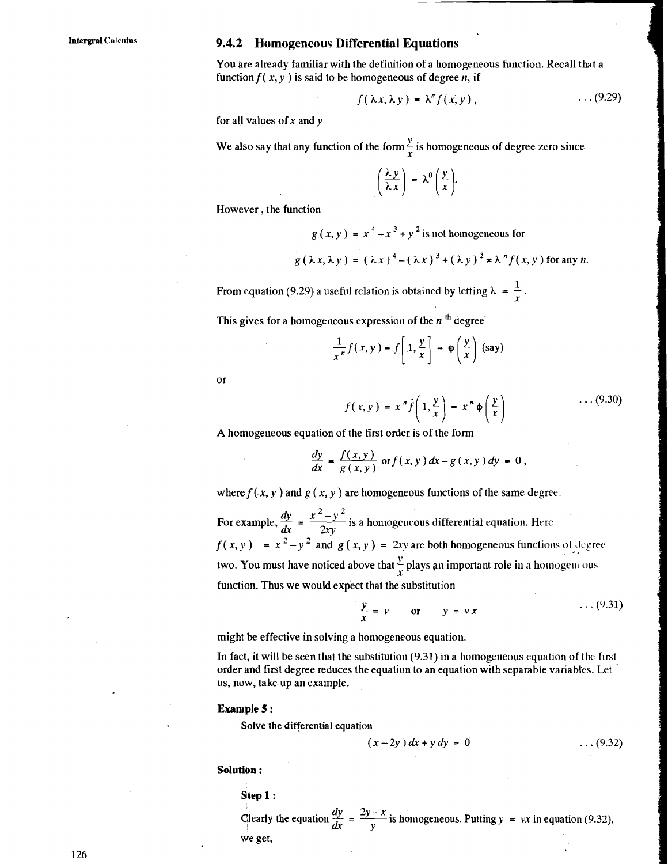#### **Intergral Calcotus 9.4.2 Homogeneous Differential Equations**

You are already familiar with the definition of a homogeneous function. Recall that a function  $f(x, y)$  is said to be homogeneous of degree n, if

$$
f(\lambda x, \lambda y) = \lambda^n f(x, y), \qquad \qquad \ldots (9.29)
$$

for a11 values of *x* and *y* 

We also say that any function of the form  $\frac{y}{x}$  is homogeneous of degree zero since

$$
\left(\frac{\lambda y}{\lambda x}\right) = \lambda^0 \left(\frac{y}{x}\right).
$$

However , the function

$$
g(x, y) = x4 - x3 + y2
$$
 is not homogeneous for  

$$
g(\lambda x, \lambda y) = (\lambda x)^{4} - (\lambda x)^{3} + (\lambda y)^{2} \neq \lambda^{n} f(x, y)
$$
 for any *n*.

From equation (9.29) a useful relation is obtained by letting  $\lambda = \frac{1}{r}$ .

This gives for a homogeneous expression of the  $n<sup>th</sup>$  degree

$$
\frac{1}{x^n}f(x,y) = f\left[1, \frac{y}{x}\right] = \phi\left(\frac{y}{x}\right)
$$
 (say)

or

$$
f(x, y) = x^n \dot{f}\left(1, \frac{y}{x}\right) = x^n \phi\left(\frac{y}{x}\right) \qquad \qquad \dots (9.30)
$$

A homogeneous equation of the first order is of the form  
\n
$$
\frac{dy}{dx} = \frac{f(x, y)}{g(x, y)} \text{ or } f(x, y) dx - g(x, y) dy = 0,
$$

where  $f(x, y)$  and  $g(x, y)$  are homogeneous functions of the same degree.

A homogeneous equation of the first order is of the form<br>  $\frac{dy}{dx} = \frac{f(x, y)}{g(x, y)}$  or  $f(x, y) dx - g(x, y) dy = 0$ ,<br>
where  $f(x, y)$  and  $g(x, y)$  are homogeneous functions of the same degree<br>
For example,  $\frac{dy}{dx} = \frac{x^2 - y^2}{2xy}$  is a  $\frac{dx}{dy}$  2xy For example,  $\frac{dy}{dx} = \frac{dy}{2xy}$  is a homogeneous differential equation. Here<br>  $f(x, y) = x^2 - y^2$  and  $g(x, y) = 2xy$  are both homogeneous functions of degree two. You must have noticed above that  $\frac{y}{x}$  plays an important role in a homogeneous function. Thus we would expect that the substitution

$$
\frac{y}{x} = v \qquad \text{or} \qquad y = vx \qquad \qquad \dots (9.31)
$$

might be effective in solving a homogeneous equation.

In fact, it will be seen that the substitution  $(9.31)$  in a homogeneous equation of the first order and first degree reduces the equation to an equation with separable variables. Let us, now, take up an example.

#### **Example <sup>5</sup>**:

Solve the differential equation

$$
(x-2y) dx + y dy = 0 \qquad \qquad \dots (9.32)
$$

**Solutibn** :

$$
Step 1:
$$

**29y -x**  $(x - 2y) dx + y dy = 0$  ... (9.32)<br> **29 -** *X*<br> **29 -** *X* is homogeneous. Putting *y* = *vx* in equation (9.32), we get, we get,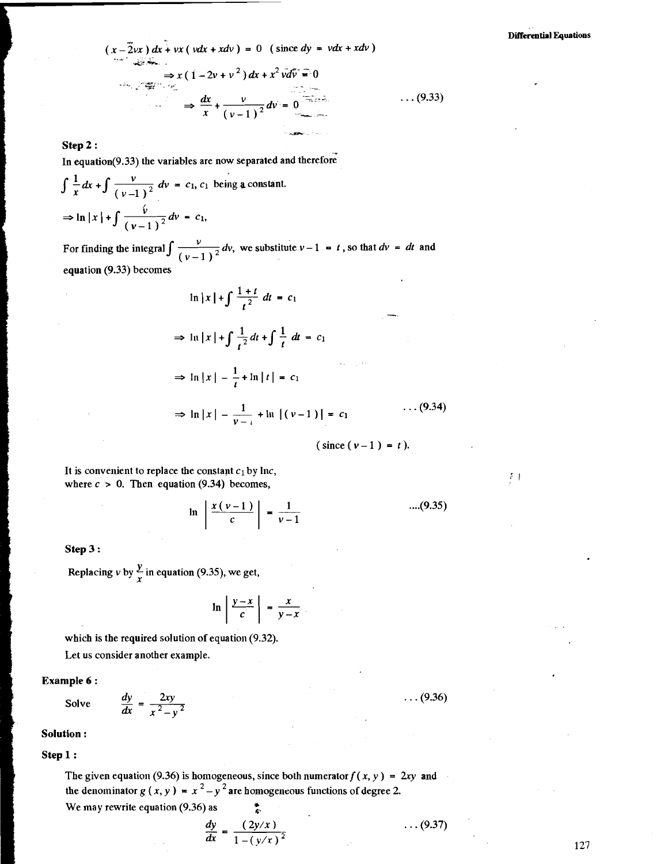$\frac{1}{2}$ 

$$
(x-2vx) dx + vx (vdx + xdv) = 0 \text{ (since } dy = vdx + xdv)
$$
  
\n
$$
\Rightarrow x (1-2v+v^2) dx + x^2 v dv = 0
$$
  
\n
$$
\Rightarrow \frac{dx}{x} + \frac{v}{(v-1)^2} dv = 0
$$
...(9.33)

#### **Step 2** :

In equation( $9.33$ ) the variables are now separated and therefore

$$
\int \frac{1}{x} dx + \int \frac{v}{(v-1)^2} dv = c_1, c_1 \text{ being a constant.}
$$
  
\n
$$
\Rightarrow \ln|x| + \int \frac{v}{(v-1)^2} dv = c_1,
$$

For finding the integral  $\int \frac{v}{(v-1)^2} dv$ , we substitute  $v-1 = t$ , so that  $dv = dt$  and equation (9.33) becomes

$$
\ln |x| + \int \frac{1+t}{t^2} dt = c_1
$$
  
\n
$$
\Rightarrow \ln |x| + \int \frac{1}{t^2} dt + \int \frac{1}{t} dt = c_1
$$
  
\n
$$
\Rightarrow \ln |x| - \frac{1}{t} + \ln |t| = c_1
$$
  
\n
$$
\Rightarrow \ln |x| - \frac{1}{v-1} + \ln |(v-1)| = c_1
$$
...(9.34)

$$
(\text{since } (\nu - 1) = t).
$$

It is convenient to replace the constant  $c_1$  by Inc, where  $c > 0$ . Then equation (9.34) becomes,

$$
\ln \left| \frac{x(v-1)}{c} \right| = \frac{1}{v-1}
$$
 ....(9.35)

#### **Step 3** :

Replacing v by  $\frac{y}{x}$  in equation (9.35), we get,

$$
\ln \left| \frac{y-x}{c} \right| = \frac{x}{y-x}
$$

which is the required solution of equation (9.32). Let us consider another example.

# **Example 6 :**<br>Solve  $\frac{dy}{dx} = \frac{2xy}{x^2 - y^2}$

<sup>I</sup>**Solution** :

#### Step 1:

**b** 

The given equation (9.36) is homogeneous, since both numerator  $f(x, y) = 2xy$  and the denominator  $g(x, y) = x^2 - y^2$  are homogeneous functions of degree 2. We may rewrite equation (9.36) as  $\ddot{\ddot{\xi}}$ 

$$
[0.1]
$$

$$
\frac{dy}{dx} = \frac{(2y/x)}{1 - (y/x)^2} \qquad \qquad \cdots (x^2 - 1) = 1
$$

 $\ldots$  (9.37)

 $\ldots (9.36)$ 

127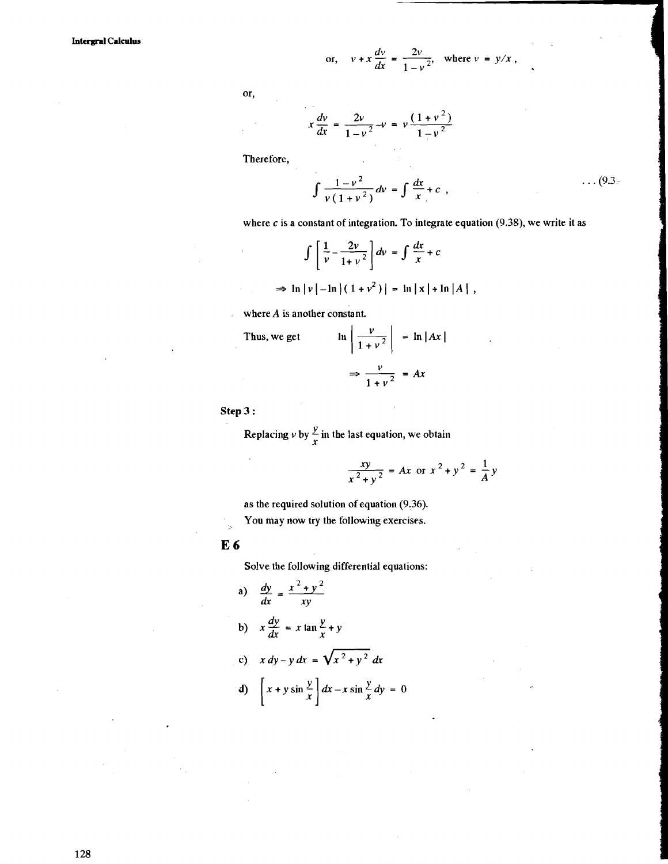or, 
$$
v + x \frac{dv}{dx} = \frac{2v}{1 - v^2}
$$
, where  $v = y/x$ ,

or.

or, 
$$
v + x \frac{dv}{dx} = \frac{2v}{1 - v^2}
$$
, who  

$$
x \frac{dv}{dx} = \frac{2v}{1 - v^2} - v = v \frac{(1 + v^2)}{1 - v^2}
$$

Therefore,

$$
\int \frac{1 - v^2}{v (1 + v^2)} dv = \int \frac{dx}{x} + c , \qquad (9.3)
$$

where  $c$  is a constant of integration. To integrate equation (9.38), we write it as

$$
\int \left[ \frac{1}{v} - \frac{2v}{1+v^2} \right] dv = \int \frac{dx}{x} + c
$$
  
\n
$$
\Rightarrow \ln |v| - \ln |(1+v^2)| = \ln |x| + \ln |A|,
$$

where  $A$  is another constant.

Thus, we get 
$$
\ln \left| \frac{v}{1 + v^2} \right| = \ln |Ax|
$$

$$
\Rightarrow \frac{v}{1 + v^2} = Ax
$$

**Step <sup>3</sup>**:

Replacing  $\nu$  by  $\frac{y}{x}$  in the last equation, we obtain

$$
\frac{xy}{x^2 + y^2} = Ax \text{ or } x^2 + y^2 = \frac{1}{A}y
$$

as the required solution of equation (9.36). You may now try the following exercises.

**E6** 

 $\frac{1}{2}$ 

Solve the following differential equations:

a) 
$$
\frac{dy}{dx} = \frac{x^2 + y^2}{xy}
$$
  
\nb) 
$$
x \frac{dy}{dx} = x \tan \frac{y}{x} + y
$$
  
\nc) 
$$
x dy - y dx = \sqrt{x^2 + y^2} dx
$$
  
\nd) 
$$
\left[ x + y \sin \frac{y}{x} \right] dx - x \sin \frac{y}{x} dy = 0
$$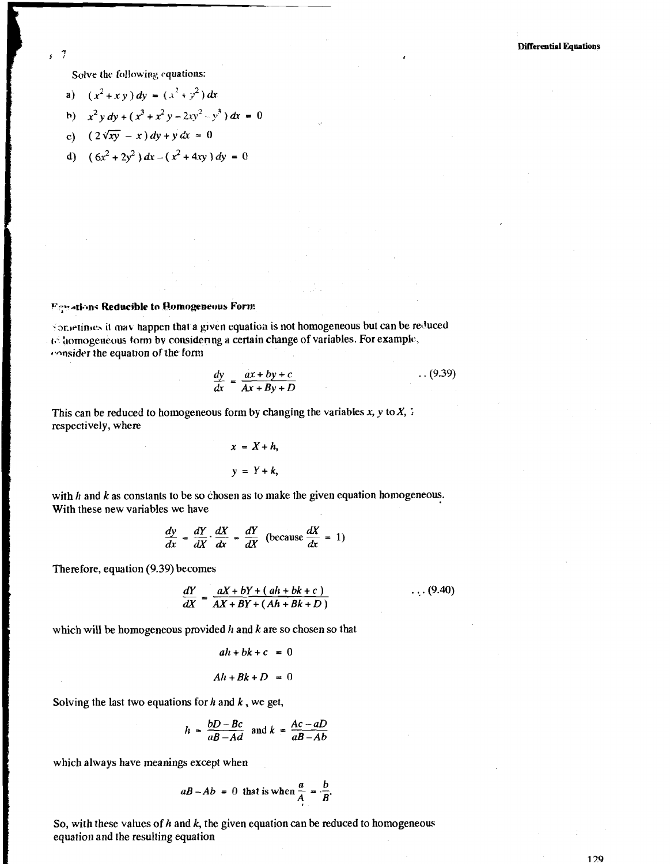Solve the following equations:

 $\overline{7}$  $\mathbf{r}$ 

a) 
$$
(x^2 + xy) dy = (x^2 + y^2) dx
$$

$$
h) \t x^2 y dy + (x^3 + x^2 y - 2xy^2 - y^3) dx = 0
$$

c) 
$$
(2\sqrt{xy} - x) dy + y dx = 0
$$

d) 
$$
(6x^2 + 2y^2) dx - (x^2 + 4xy) dy = 0
$$

**Figurations Reducible to Homogeneous Form** 

Sonietimes it may happen that a given equation is not homogeneous but can be reduced *r*: *a iomogeneous torm by considering a certain change of variables. For example,*  $t$ <sup>onsider the equation of the form</sup>

$$
\frac{dy}{dx} = \frac{ax + by + c}{Ax + By + D} \tag{9.39}
$$

This can be reduced to homogeneous form by changing the variables  $x$ ,  $y$  to  $X$ ,  $\frac{1}{2}$ respectively, where

$$
x = X + h,
$$
  

$$
y = Y + k,
$$

with *h* and *k* as constants to be so chosen as to make the given equation homogeneous. With these new variables we have

$$
\frac{dy}{dx} = \frac{dY}{dX} \cdot \frac{dX}{dx} = \frac{dY}{dX} \text{ (because } \frac{dX}{dx} = 1)
$$

Therefore, equation (9.39) becomes

$$
\frac{dY}{dX} = \frac{aX + bY + (ah + bk + c)}{AX + BY + (Ah + Bk + D)}
$$
\n(9.40)

which will be homogeneous provided h and k are so chosen so that

$$
ah + bk + c = 0
$$
  
 
$$
Ah + Bk + D = 0
$$

Solving the last two equations for  $h$  and  $k$ , we get,

$$
h = \frac{bD - Bc}{aB - Ad} \text{ and } k = \frac{Ac - aD}{aB - Ab}
$$

which always have meanings except when

$$
aB - Ab = 0
$$
 that is when  $\frac{a}{A} = \frac{b}{B}$ .

So, with these values of  $h$  and  $k$ , the given equation can be reduced to homogeneous equation and the resulting equation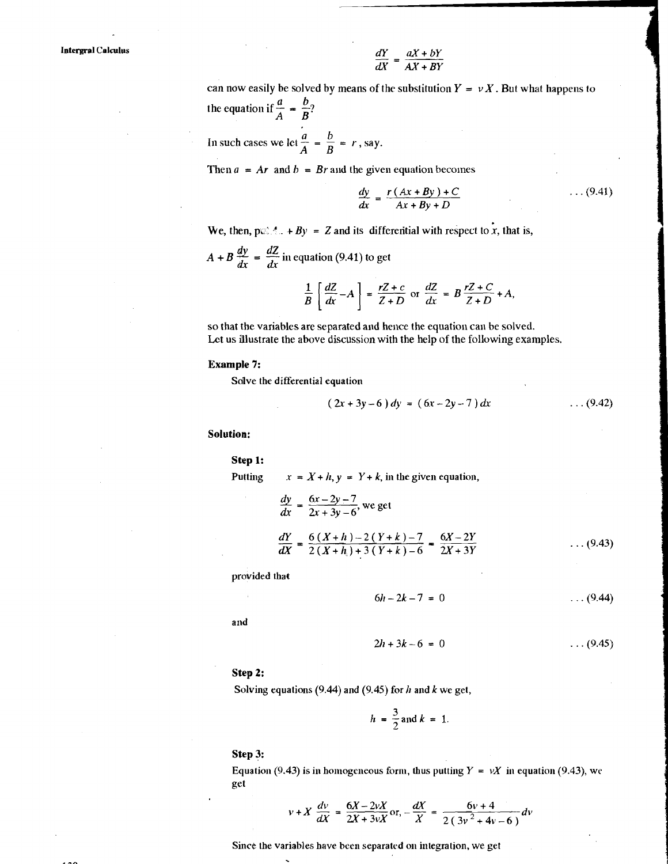$$
\frac{dY}{dX} = \frac{aX + bY}{AX + BY}
$$

can now easily be solved by means of the substitution  $Y = vX$ . But what happens to the equation if  $\frac{a}{A} = \frac{b}{B}$ ? In such cases we let  $\frac{a}{A} = \frac{b}{B} = r$ , say.

Then  $a = Ar$  and  $b = Br$  and the given equation becomes

$$
\frac{dy}{dx} = \frac{r(Ax + By) + C}{Ax + By + D} \qquad \qquad \dots (9.41)
$$

We, then,  $p \in \mathcal{A}$ .  $+By = Z$  and its differential with respect to x, that is,

$$
A + B \frac{dy}{dx} = \frac{dZ}{dx}
$$
 in equation (9.41) to get

$$
\frac{1}{B} \left[ \frac{dZ}{dx} - A \right] = \frac{rZ + c}{Z + D} \text{ or } \frac{dZ}{dx} = B \frac{rZ + C}{Z + D} + A,
$$

so that the variables are separated and hence the equation can be solved. Lct us illustrate the above discussion with the help of the following examples.

#### **Example 7:**

Sdlve the differential equation

$$
(2x+3y-6) dy = (6x-2y-7) dx
$$
...(9.42)

**Solution:** 

Step 1: Putting  $x = X + h$ ,  $y = Y + k$ , in the given equation,  $\frac{dy}{dx} = \frac{6x-2y-7}{2x+3y-6}$ , we get  $\frac{dY}{dX} = \frac{6(X+h)-2(Y+k)-7}{2(X+h_1)+3(Y+k)-6} = \frac{6X-2Y}{2X+3Y}$  $\ldots$  (9.43)

provided that

$$
6h - 2k - 7 = 0 \tag{9.44}
$$

and

$$
2h + 3k - 6 = 0 \tag{9.45}
$$

#### **Step 2:**

Solving equations (9.44) and (9.45) for *h* and *k* we get,

$$
h = \frac{3}{2} \text{ and } k = 1.
$$

#### **Step 3:**

Equation (9.43) is in homogeneous form, thus putting  $Y = vX$  in equation (9.43), we get

$$
v + X \frac{dv}{dX} = \frac{6X - 2vX}{2X + 3vX}
$$
 or, 
$$
-\frac{dX}{X} = \frac{6v + 4}{2(3v^2 + 4v - 6)}dv
$$

Since the variables have been separated on integration, we get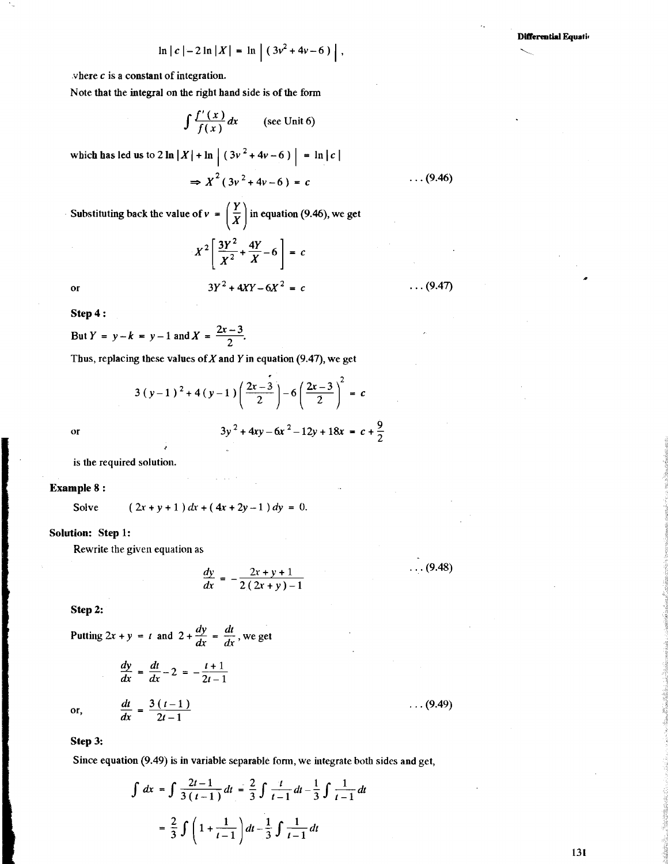$$
\ln |c| - 2 \ln |X| = \ln |(3v^2 + 4v - 6)|,
$$

where  $c$  is a constant of integration.

Note that the integral on the right hand side is of the form

$$
\int \frac{f'(x)}{f(x)} dx \qquad \text{(see Unit 6)}
$$

which has led us to  $2 \ln |X| + \ln |(3v^2 + 4v - 6)| = \ln |c|$ 

$$
\Rightarrow X^2(3v^2+4v-6) = c \qquad \qquad \dots (9.46)
$$

Substituting back the value of  $v = \left(\frac{Y}{X}\right)$  in equation (9.46), we get  $x^2 \left[\frac{3Y^2}{1-x}\right] = \frac{4Y}{1-x^2}$ 

$$
Y^{2} \left[ \frac{3Y^{2}}{X^{2}} + \frac{4Y}{X} - 6 \right] = c
$$
  
3Y<sup>2</sup> + 4XY - 6X<sup>2</sup> = c  
... (9.47)

Step 4 :

$$
\begin{bmatrix} X^2 & X \end{bmatrix}
$$
  
or  

$$
3Y^2 + 4XY - 6X
$$
  
Step 4:  
But  $Y = y - k = y - 1$  and  $X = \frac{2x - 3}{2}$ .  
Thus replacing these values of X and Y in equs

Thus, replacing these values of  $X$  and  $Y$  in equation (9.47), we get

$$
3(y-1)^2 + 4(y-1)\left(\frac{2x-3}{2}\right) - 6\left(\frac{2x-3}{2}\right)^2 = c
$$
  

$$
3y^2 + 4xy - 6x^2 - 12y + 18x = c + \frac{9}{2}
$$

 $\overline{\text{or}}$ 

is the required solution.

Example 8 :

Solve  $(2x+y+1) dx + (4x+2y-1) dy = 0.$ 

#### Solution: Step 1:

Rewrite the given equation as

$$
\frac{dy}{dx} = -\frac{2x + y + 1}{2(2x + y) - 1} \tag{9.48}
$$

Step 2:

Step 2:  
\nPutting 
$$
2x + y = t
$$
 and  $2 + \frac{dy}{dx} = \frac{dt}{dx}$ , we get  
\n
$$
\frac{dy}{dx} = \frac{dt}{dx} - 2 = -\frac{t+1}{2t-1}
$$
\nor,  
\n
$$
\frac{dt}{dx} = \frac{3(t-1)}{2t-1}
$$
\n...(9.49)

Step 3:

Since equation (9.49) is in variable separable form, we integrate both sides and get,

$$
\int dx = \int \frac{2t - 1}{3(t - 1)} dt = \frac{2}{3} \int \frac{t}{t - 1} dt - \frac{1}{3} \int \frac{1}{t - 1} dt
$$

$$
= \frac{2}{3} \int \left(1 + \frac{1}{t - 1}\right) dt - \frac{1}{3} \int \frac{1}{t - 1} dt
$$

131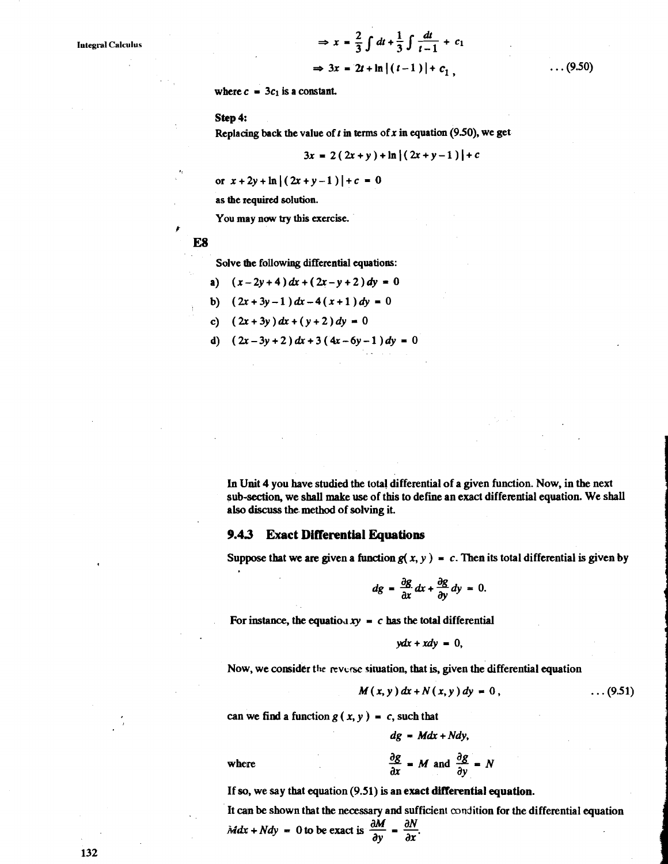$$
\Rightarrow x = \frac{2}{3} \int dt + \frac{1}{3} \int \frac{dt}{t - 1} + c_1
$$
  

$$
\Rightarrow 3x = 2t + \ln|(t - 1)| + c_1,
$$

 $\ldots$  (9.50)

where  $c = 3c_1$  is a constant.

Step 4:

Replacing back the value of  $t$  in terms of  $x$  in equation (9.50), we get

$$
3x = 2(2x+y) + \ln |(2x+y-1)| + c
$$

or  $x + 2y + \ln |(2x + y - 1)| + c = 0$ 

as the required solution.

You may now try this exercise.

**ES** 

#

Solve the following differential equations:

a)  $(x-2y+4) dx + (2x-y+2) dy = 0$ 

b) 
$$
(2x+3y-1) dx-4(x+1) dy = 0
$$

- c)  $(2x+3y) dx + (y+2) dy = 0$
- d)  $(2x-3y+2) dx + 3 (4x-6y-1) dy = 0$

In Unit 4 you have studied the total differential of a given function. Now, in the next sub-section, we shall make use of this to define an exact differential equation. We shall also **discuss** the method of solving it.

#### **9.43 Exact Differential Equations**

Suppose that we are given a function  $g(x, y) = c$ . Then its total differential is given by

$$
dg = \frac{\partial g}{\partial x} dx + \frac{\partial g}{\partial y} dy = 0.
$$

For instance, the equation  $xy = c$  has the total differential

$$
ydx+xdy=0,
$$

Now, we consider the reverse situation, that is, given the differential equation

$$
M(x, y) dx + N(x, y) dy = 0,
$$
 ... (9.51)

can we find a function  $g(x, y) = c$ , such that

$$
dg = Mdx + Ndy,
$$
  

$$
\frac{\partial g}{\partial x} = M \text{ and } \frac{\partial g}{\partial y} = N
$$

where

If so, we say that equation (9.51) is an exact differential equation.

It can be shown that the necessary and sufficient condition for the differential equation If so, we say that equation (9.51) is an exa<br>It can be shown that the necessary and suff<br> $\frac{\partial M}{\partial y}$  =  $\frac{\partial N}{\partial x}$ .

132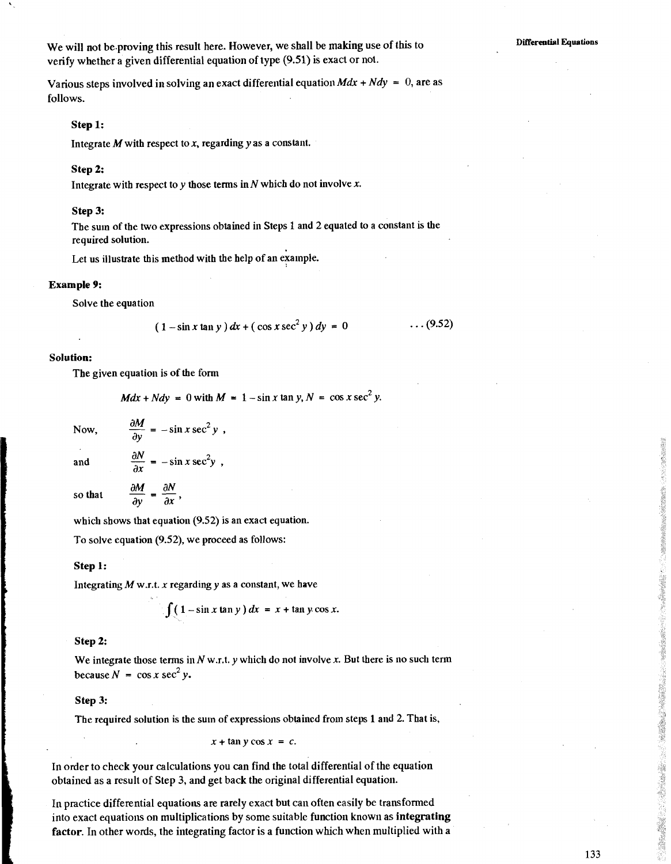**DitTerential Equations** 

Various steps involved in solving an exact differential equation  $Mdx + Ndy = 0$ , are as follows.

#### **Step 1:**

Integrate  $M$  with respect to  $x$ , regarding  $y$  as a constant.

#### **Step 2:**

Integrate with respect to y those terms in  $N$  which do not involve  $x$ .

#### **Step 3:**

The sum of the two expressions obtained in Steps 1 and 2 equated to a constant is the required solution.

Let us illustrate this method with the help of an example.

#### **Example 9:**

Solve the equation

$$
(1 - \sin x \tan y) dx + (\cos x \sec^2 y) dy = 0
$$
 ... (9.52)

#### **Solution:**

The given equation is of the form

$$
Mdx + Ndy = 0
$$
 with  $M = 1 - \sin x \tan y$ ,  $N = \cos x \sec^2 y$ .

Now, 
$$
\frac{\partial M}{\partial y} = -\sin x \sec^2 y,
$$

and

 $\frac{\partial M}{\partial v} = \frac{\partial N}{\partial x},$ and  $\frac{\partial N}{\partial x} = -\sin x \sec^2 y$ ,<br>so that  $\frac{\partial M}{\partial x} = \frac{\partial N}{\partial y}$ ,

which shows that equation (9.52) is an exact equation.

To solve equation (9.52), we proceed as follows:

#### **Step 1:**

Integrating  $M$  w.r.t.  $x$  regarding  $y$  as a constant, we have

$$
\int (1-\sin x \tan y) dx = x + \tan y \cos x.
$$

#### **Step 2:**

We integrate those terms in  $N$  w.r.t.  $\nu$  which do not involve  $x$ . But there is no such term **because**  $N = \cos x \sec^2 y$ .

#### **Step 3:**

The required solution is the sum of expressions obtained from steps 1 and 2. That is,

 $x + \tan y \cos x = c$ .

In order to check your calculations you can find the total differential of the equation obtained as a result of Step 3, and get back the original differential equation.

In practice differential equations are rarely exact but can often easily be transformed into exact equations on multiplications by some suitable function known as **integrating factor.** In other words, the integrating factor is a function which when multiplied with a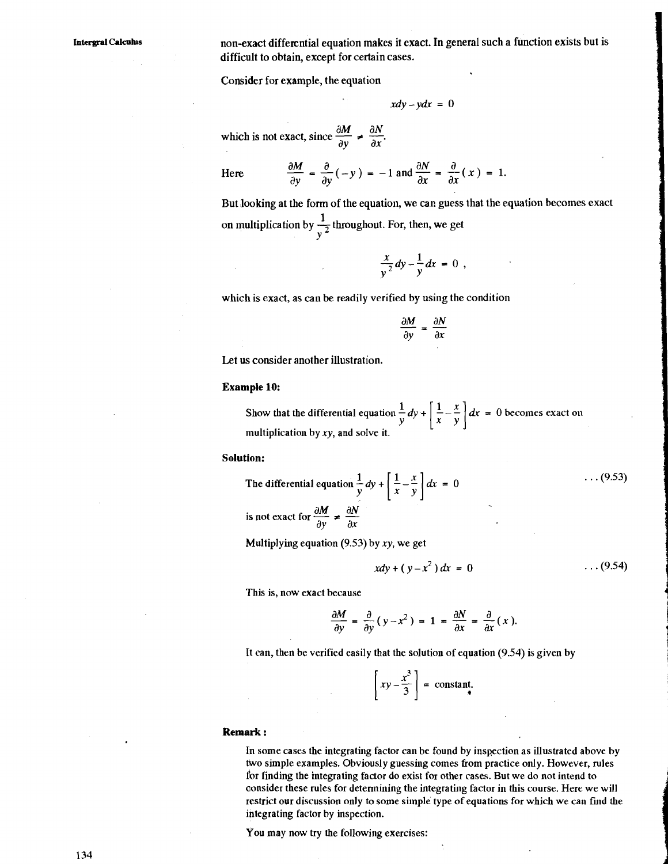non-exact differential equation makes it exact. In general such a function exists but is difficult to obtain, except for certain cases.

Consider for example, the equation

$$
xdy - ydx = 0
$$

which is not exact, since  $\frac{\partial M}{\partial y} \neq \frac{\partial N}{\partial x}$ .

Here

$$
\frac{\partial M}{\partial y} = \frac{\partial}{\partial y}(-y) = -1 \text{ and } \frac{\partial N}{\partial x} = \frac{\partial}{\partial x}(x) = 1.
$$

But looking at the form of the equation, we can guess that the equation becomes exact on multiplication by  $\frac{1}{2}$  throughout. For, then, we get *Y* 

$$
\frac{x}{y^2}dy-\frac{1}{y}dx=0,
$$

which is exact, as can be readily verified by using the condition

$$
\frac{\partial M}{\partial y} = \frac{\partial N}{\partial x}
$$

Let **us** consider another illustration.

#### **Example 10:**

Show that the differential equation  $\frac{1}{y}dy + \left[\frac{1}{x} - \frac{x}{y}\right]dx = 0$  becomes exact on multiplication by  $xy$ , and solve it.

#### **Solution:**

The differential equation  $\frac{1}{y}dy + \left[\frac{1}{x} - \frac{x}{y}\right]dx = 0$  $\ldots$  (9.53) The differential equation  $\frac{1}{y} dy$ <br>is not exact for  $\frac{\partial M}{\partial y} \neq \frac{\partial N}{\partial x}$ 

Multiplying equation  $(9.53)$  by xy, we get

$$
xdy + (y - x^2) dx = 0
$$
 ... (9.54)

This is, now exact because

$$
\frac{\partial M}{\partial y} = \frac{\partial}{\partial y} (y - x^2) = 1 = \frac{\partial N}{\partial x} = \frac{\partial}{\partial x} (x).
$$

It can, then be verified easily that the solution of equation (9.54) is given by

$$
\left[xy-\frac{x^3}{3}\right] = \text{constant.}
$$

#### **Remark** :

En some cases the integrating factor can be found by inspection as illustrated above by two simple examples. Obviously guessing comes from practice only. However, rules for finding the integrating factor do exist for other cases. But we do not intend to consider these rules for determining the integrating factor in this course. Here we will restrict our discussion only to some simple type of equations for which we can find the integrating factor by inspection.

You may now try the following exercises: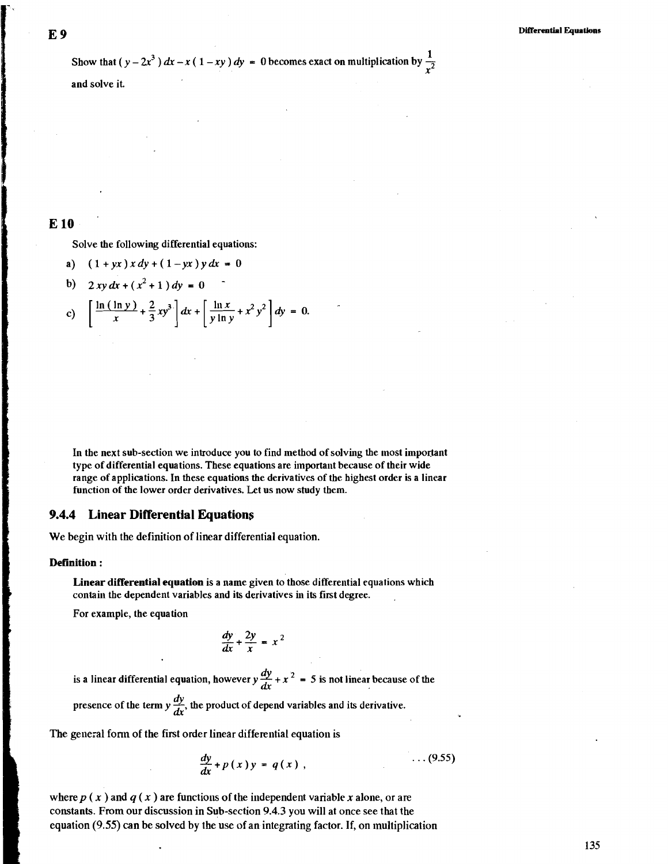Show that  $(y-2x^3) dx - x(1-xy) dy = 0$  becomes exact on multiplication by  $\frac{1}{x^2}$ 

and solve it.

#### **E 10**

Solve the following differential equations:

- a)  $(1 + yx) x dy + (1 yx) y dx = 0$
- b)  $2 xy dx + (x^2 + 1) dy = 0$

c) 
$$
\left[ \frac{\ln (\ln y)}{x} + \frac{2}{3}xy^3 \right] dx + \left[ \frac{\ln x}{y \ln y} + x^2 y^2 \right] dy = 0.
$$

In the next sub-section we introduce you to find method of solving the most important type of differential equations. These equations are important because of their wide range of applications. In these equations the derivatives of the highest order is a linear function of the lower order derivatives. Let us now study them.

#### **9.4.4 Linear Differential Equations**

We begin with the definition of linear differential equation.

#### **Definition** :

**Linear differential equation** is a name given to those differential equations which contain the dependent variables and its derivatives in its first degree. .

For example, the equation

$$
\frac{dy}{dx} + \frac{2y}{x} = x^2
$$

is a linear differential equation, however  $y \frac{dy}{dx} + x^2 = 5$  is not linear because of the presence of the term  $y \frac{dy}{dx}$ , the product of depend variables and its derivative.

The general form of the first order linear differential equation is

$$
\frac{dy}{dx} + p(x)y = q(x), \qquad \qquad \dots (9.55)
$$

where  $p(x)$  and  $q(x)$  are functions of the independent variable x alone, or are constants. From our discussion in Sub-section 9.4.3 you will at once see that the equation  $(9.55)$  can be solved by the use of an integrating factor. If, on multiplication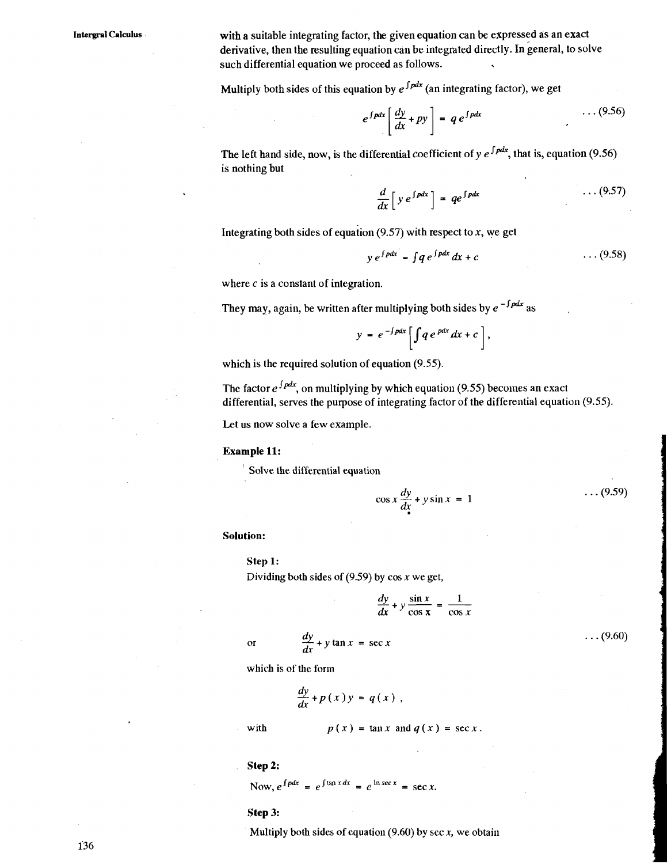**Intergrpl Calculus** with a suitable integrating factor, the given equation can be expressed as an exact derivative, then the resulting equation can be integrated directly. In general, to solve such differential equation we proceed as follows.

Multiply both sides of this equation by  $e^{\int pdx}$  (an integrating factor), we get

$$
e^{\int pdx} \left[ \frac{dy}{dx} + py \right] = q e^{\int pdx} \tag{9.56}
$$

The left hand side, now, is the differential coefficient of  $y e^{\int p dx}$ , that is, equation (9.56) is nothing but

$$
\frac{d}{dx}\left[y e^{\int pdx}\right] = q e^{\int pdx} \qquad \qquad \ldots (9.57)
$$

Integrating both sides of equation  $(9.57)$  with respect to  $x$ , we get

$$
y e^{\int pdx} = \int q e^{\int pdx} dx + c \qquad \qquad \ldots (9.58)
$$

where c is a constant of integration.

They may, again, be written after multiplying both sides by  $e^{-\int \rho dx}$  as

$$
y = e^{-\int pdx} \left[ \int q e^{p dx} dx + c \right],
$$

which is the required solution of equation (9.55).

The factor  $e^{\int pdx}$ , on multiplying by which equation (9.55) becomes an exact differential, serves the purpose of integrating factor of the differential equation (9.55).

Let us now solve a few example.

#### **Example 11:**

Solve the differential equation

$$
\cos x \frac{dy}{dx} + y \sin x = 1 \tag{9.59}
$$

#### **Solution:**

#### **Step 1:**

Dividing both sides of  $(9.59)$  by cos x we get,

$$
\frac{dy}{dx} + y \frac{\sin x}{\cos x} = \frac{1}{\cos x}
$$

 $\ldots$  (9.60)

 $\frac{dy}{dx}$  + y tan x = sec x  $\overline{\text{or}}$ 

which is of the form

$$
\frac{dy}{dx}+p(x)y=q(x),
$$

with 
$$
p(x) = \tan x
$$
 and  $q(x) = \sec x$ .

#### **Step 2:**

Now,  $e^{\int pdx} = e^{\int \tan x dx} = e^{\ln \sec x} = \sec x$ .

#### **Step 3:**

Multiply both sides of equation  $(9.60)$  by sec x, we obtain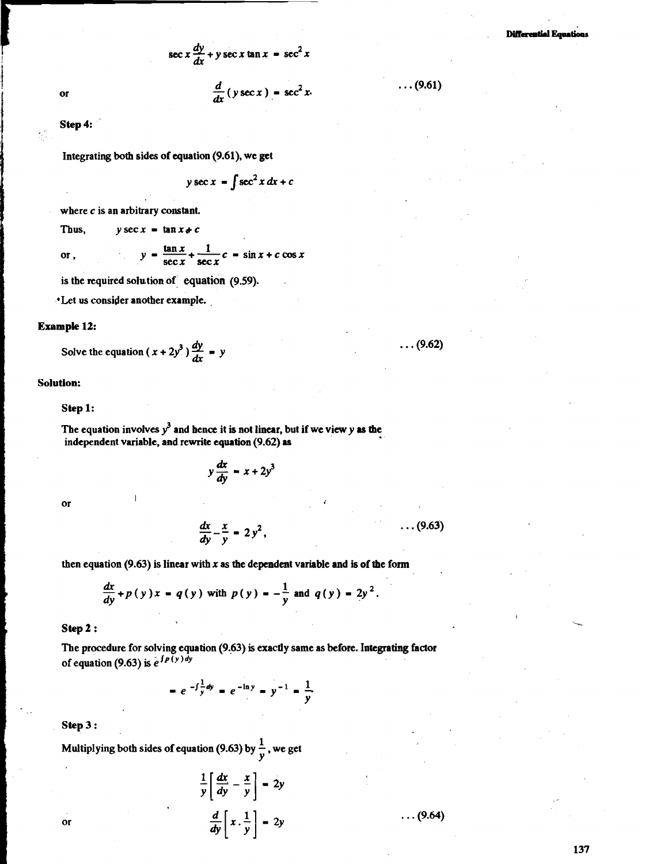$\sec x \frac{dy}{dx} + y \sec x \tan x = \sec^2 x$ 

 $\frac{d}{dx}$ (y sec x) = sec<sup>2</sup> x.

or

<sup>f</sup>**Step 4:** 

Integrating both sides of equation **(9.61).** we **get** 

 $y \sec x = \int \sec^2 x dx + c$ 

where c is an arbitrary constant.

Thus,  $y \sec x = \tan x + c$ 

 $y = \frac{\tan x}{\sec x} + \frac{1}{\sec x}c = \sin x + c \cos x$ 

is the required solution of equation **(9.59).** 

\*Let us consider another example. ,

#### **Example 12:**

 $or.$ 

Solve the equation  $(x + 2y^3) \frac{dy}{dx} = y$ 

#### **Solution:**

#### **Step 1:**

The equation involves  $y^3$  and hence it is not linear, but if we view  $y$  as the independent variable, and rewrite equation **(9.62) as** 

$$
y\frac{dx}{dy} = x + 2y^3
$$

or

$$
\frac{dx}{dy} - \frac{x}{y} = 2y^2, \qquad \qquad \dots (9.63)
$$

then equation  $(9.63)$  is linear with x as the dependent variable and is of the form

$$
\frac{dx}{dy} + p(y)x = q(y) \text{ with } p(y) = -\frac{1}{y} \text{ and } q(y) = 2y^2
$$

#### **Step 2** :

The procedure for solving equation **(9.63)** is exactly same as before. Integrating factor Step 2 :<br>The procedure for solving equation (9.63) is exactly same as before. Integrating<br>of equation (9.63) is  $e^{\int P(y) dy}$ 

 $= e^{-\int \frac{1}{y} dy} = e^{-\ln y} = y^{-1} = \frac{1}{y}$ 

**Step 3** :

 $\overline{\text{or}}$ 

Multiplying both sides of equation (9.63) by  $\frac{1}{v}$ , we get

$$
\frac{1}{y} \left[ \frac{dx}{dy} - \frac{x}{y} \right] = 2y
$$

$$
\frac{d}{dy} \left[ x \cdot \frac{1}{y} \right] = 2y
$$

 $\ldots$  (9.64)

137

 $\ldots$  (9.61)

 $\ldots$  (9.62)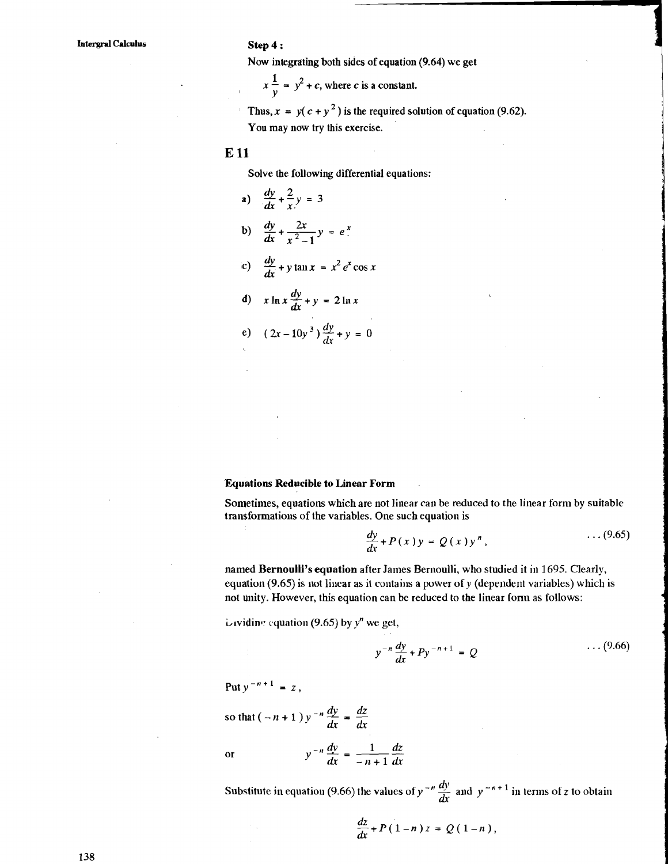## **Step 4**  :

Now integrating both sides of equation  $(9.64)$  we get  $\blacksquare$ 

 $x \frac{1}{y} = y^2 + c$ , where *c* is a constant.

les of equation  $(9.64)$  we get<br>
c is a constant.<br>
the required solution of equation  $(9.62)$ .<br>
ercise.<br>
rential equations: Thus,  $x = y(c + y^2)$  is the required solution of equation (9.62). You may now try this exercise.

#### **E 11**

Solve the following differential equations:

a)  $\frac{dy}{dx} + \frac{2}{x}y = 3$ b)  $\frac{dy}{dx} + \frac{2x}{x^2-1}$ **c**)  $\frac{dy}{dx} + y \tan x = x^2 e^x \cos x$ **d**)  $x \ln x \frac{dy}{dx} + y = 2 \ln x$ e)  $(2x-10y^3)\frac{dy}{dx} + y = 0$ 

#### **Equations Reducible to Linear Form** .

Sometimes, equations which are not linear can be reduced to the linear form by suitable transformations of the variables. One such equation is

$$
\frac{dy}{dx} + P(x)y = Q(x)y^{n}, \qquad \qquad \ldots (9.65)
$$

named Bernoulli's equation after James Bernoulli, who studied it in 1695. Clearly, equation (9.65) is not linear as it contains a power of y (dependent variables) which is not dnity. However, this equation can bc reduced to the linear fonn as follows:

inviding equation (9.65) by  $y^n$  we get,

$$
y^{-n}\frac{dy}{dx} + Py^{-n+1} = Q \qquad \qquad \cdots (9.66)
$$

Put  $y^{-n+1} = z$ ,

so that  $(-n+1)y^{-n}\frac{dy}{dx} = \frac{dz}{dx}$  $\overline{\text{or}}$ 

or  $y^{-n} \frac{dy}{dx} = \frac{1}{-n+1} \frac{dz}{dx}$ <br>Substitute in equation (9.66) the values of  $y^{-n} \frac{dy}{dx}$  and  $y^{-n+1}$  in terms of *z* to obtain

$$
\frac{dz}{dx}+P(1-n)z=Q(1-n),
$$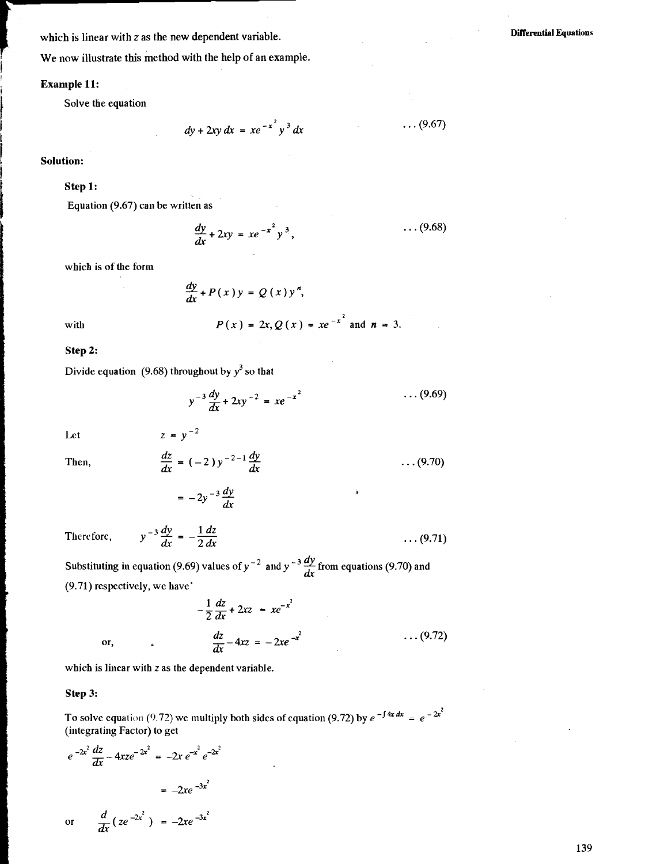which is linear with z as the new dependent variable.

**Differential Equations** 

We now illustrate this method with the help of an example.

#### **Example 11:**

--

Solve the equation

$$
dy + 2xy dx = xe^{-x^2} y^3 dx
$$
 ... (9.67)

**I Solution:** 

#### **Step 1:**

Equation  $(9.67)$  can be written as

$$
\frac{dy}{dx} + 2xy = xe^{-x^2}y^3, \qquad \qquad \dots (9.68)
$$

which is of the form

$$
\frac{dy}{dx}+P(x)y=Q(x)y'
$$

with 
$$
P(x) = 2x, Q(x) = xe^{-x^2}
$$
 and  $n = 3$ .

**Step 2:** 

Divide equation (9.68) throughout by  $y^3$  so that

$$
y^{-3} \frac{dy}{dx} + 2xy^{-2} = xe^{-x^2} \qquad \qquad \ldots (9.69)
$$

Let  $z = y^{-2}$ 

Then,

$$
\frac{dz}{dx} = (-2) y^{-2-1} \frac{dy}{dx}
$$
 (9.70)

 $= -2y^{-3}\frac{dy}{dx}$ 

Therefore, 
$$
y^{-3} \frac{dy}{dx} = -\frac{1}{2} \frac{dz}{dx}
$$
 ... (9.71)

Substituting in equation (9.69) values of  $y^{-2}$  and  $y^{-3} \frac{dy}{dx}$  from equations (9.70) and (9.71) respectively, we have'

$$
-\frac{1}{2}\frac{dz}{dx} + 2xz = xe^{-x^{2}}
$$
  
or, 
$$
\frac{dz}{dx} - 4xz = -2xe^{-x^{2}}
$$
 ... (9.72)

which is linear with z as the dependent variable.

#### **Step 3:**

To solve equation (9.72) we multiply both sides of equation (9.72) by  $e^{-\int 4x \, dx} = e^{-2x^2}$ (integrating Factor) to get

$$
e^{-2x^2} \frac{dz}{dx} - 4xz e^{-2x^2} = -2x e^{-x^2} e^{-2x^2}
$$

$$
= -2xe^{-3x^2}
$$

or 
$$
\frac{d}{dx}(ze^{-2x^2}) = -2xe^{-3x^2}
$$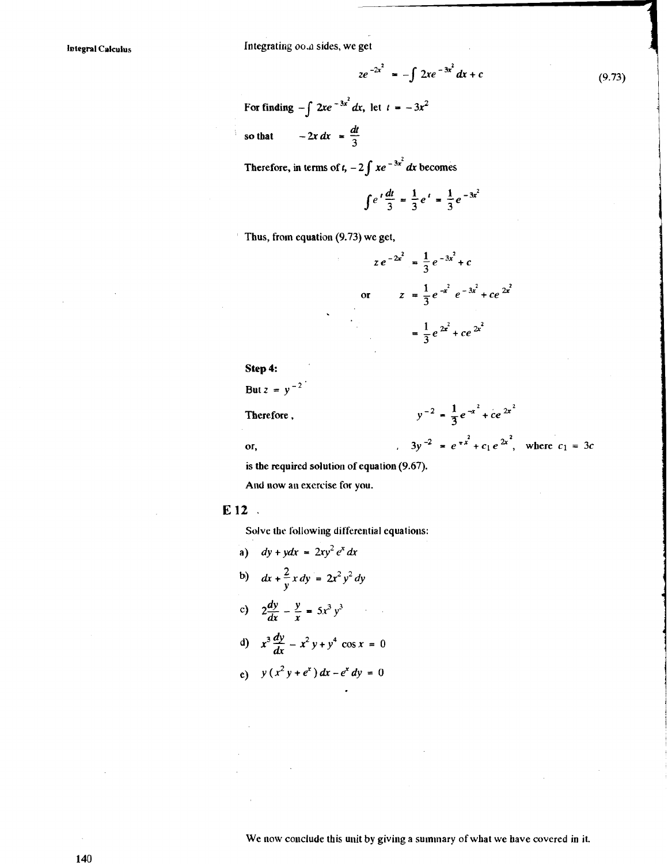**Integral Calculus** 

Integrating oo.a sides, we get

$$
ze^{-2x^2} = -\int 2xe^{-3x^2}dx + c \tag{9.73}
$$

For finding  $-\int 2xe^{-3x^2} dx$ , let  $t = -3x^2$ 

so that  $-2x dx = \frac{dt}{3}$ 

Therefore, in terms of  $t$ ,  $-2 \int xe^{-3x^2} dx$  becomes

$$
\int e^t \frac{dt}{3} = \frac{1}{3} e^t = \frac{1}{3} e^{-3x^2}
$$

<sup>I</sup>Thus, from equation **(9.73)** we get,



**Step** 4:

But  $z = y^{-2}$ 

Therefore,

 $y^{-2} = \frac{1}{3}e^{-x^2} + ce^{2x^2}$ or,  $3y^{-2} = e^{-x^2} + c_1 e^{2x^2}$ , where  $c_1 = 3c$ 

is the required solution of equation (9.67).

And now an exercise for you.

#### **El2**

Solve the following differential equations:

**a**)  $dy + ydx = 2xy^2 e^x dx$ **b)**  $dx + \frac{2}{v}x dy = 2x^2y^2 dy$ c)  $2\frac{dy}{dx} - \frac{y}{x} = 5x^3y^3$ (d)  $x^3 \frac{dy}{dx} - x^2 y + y^4 \cos x = 0$ 

e) 
$$
y(x^2y + e^x) dx - e^x dy = 0
$$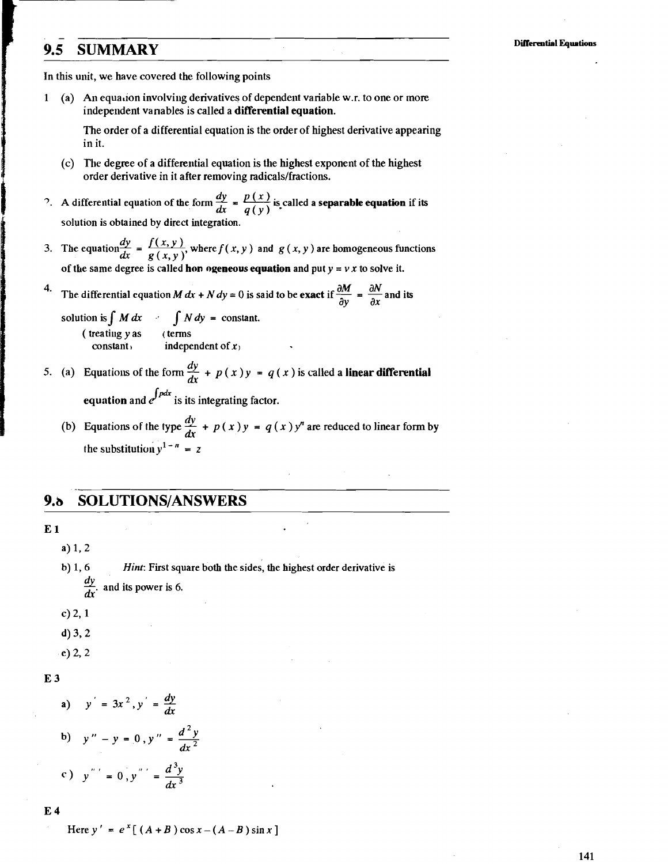## **9.5 SUMMARY**

In this unit, we have covcred the following points

-

1 (a) An equalion involviiig derivatives of dependent variable w.r. to one or more independent vanables is called a **differential equation.** 

The order of a differential equation is the order of highest derivative appearing in it.

- (c) The degree of a differential equation is the highest exponent of the highest order derivative in it after removing radicals/fractions.
- <sup>2</sup>. A differential equation of the form  $\frac{dy}{dx} = \frac{p(x)}{q(x)}$  is called a **separable equation** if its  $dx = q(y)$ solution is obtained by direct integration.
- 3. The equation  $\frac{dy}{dx} = \frac{f(x, y)}{g(x, y)}$ , where  $f(x, y)$  and  $g(x, y)$  are homogeneous functions of the same degree is called hon **ogeneous equation** and put  $y = v x$  to solve it.
- of the same degree is called hon ogeneous equation and put  $y = v x$  to solve it.<br>
4. The differential equation M  $dx + N dy = 0$  is said to be **exact** if  $\frac{\partial M}{\partial y} = \frac{\partial N}{\partial x}$  and its

solution is  $\int M dx$   $\int N dy =$  constant.  $(\text{treating } y \text{ as } (\text{terms} \text{constant}) \text{ in } \text{deph})$ independent of  $x_1$ 

- 5. (a) Equations of the form  $\frac{dy}{dx} + p(x)y = q(x)$  is called a **linear differential equation** and  $e^{\int pdx}$  is its integrating factor.
	- (b) Equations of the type  $\frac{dy}{dx} + p(x)y = q(x)y^n$  are reduced to linear form by the substitution  $y^{1-n} = z$

#### *9.b* **SOLUTIONSIANSWERS**

**E 1** 

a) 1, 2

b) **1,6 Hint:** First square both the sides, the highest order derivative is and its power is 6.

 $c) 2, 1$ 

 $d$ ) 3, 2

 $e) 2, 2$ 

#### E 3

a) 
$$
y' = 3x^2, y' = \frac{dy}{dx}
$$
  
\nb)  $y'' - y = 0, y'' = \frac{d^2y}{dx^2}$   
\nc)  $y'' = 0, y'' = \frac{d^3y}{dx^3}$ 

**E 4** 

Here  $y' = e^x \left[ (A + B) \cos x - (A - B) \sin x \right]$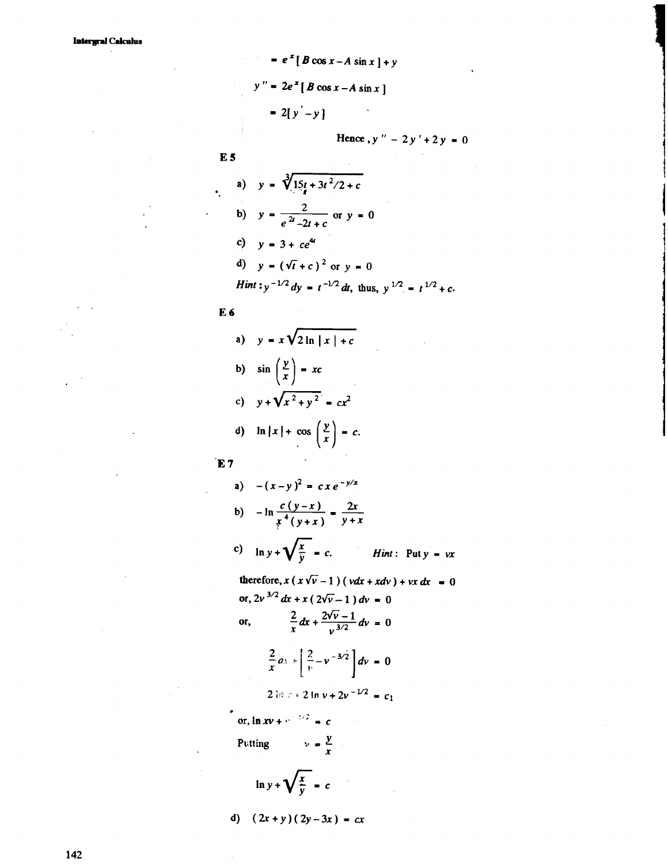$$
e^{2} [B \cos x - A \sin x] + y
$$
  

$$
y'' = 2e^{2} [B \cos x - A \sin x]
$$
  

$$
= 2[y'-y]
$$
  
Hence, y'' - 2y

$$
\mathbf{E}\mathbf{S}
$$

$$
lence, y'' - 2y' + 2y = 0
$$

a) 
$$
y = \sqrt[3]{15t + 3t^2/2 + c}
$$
  
\nb)  $y = \frac{2}{e^{2t} - 2t + c}$  or  $y = 0$   
\nc)  $y = 3 + ce^{4t}$   
\nd)  $y = (\sqrt{t} + c)^2$  or  $y = 0$   
\nHint:  $y^{-1/2} dy = t^{-1/2} dt$ , thus,  $y^{1/2} = t^{1/2} + c$ .

E 6

a) 
$$
y = x\sqrt{2 \ln |x| + c}
$$
  
\nb)  $\sin \left(\frac{y}{x}\right) = xc$   
\nc)  $y + \sqrt{x^2 + y^2} = cx^2$   
\nd)  $\ln |x| + \cos \left(\frac{y}{x}\right) = c.$ 

 $\mathbf{\hat{E}}$  7

a) 
$$
-(x-y)^2 = cx e^{-y/x}
$$
  
b)  $-\ln \frac{c(y-x)}{x^4(y+x)} = \frac{2x}{y+x}$ 

**c)**  $\ln y + \sqrt{\frac{x}{y}} = c$ . *Hint*: Puty = *vx* 

therefore,  $x(x\sqrt{v}-1)(vdx + xdv) + vx dx = 0$ or,  $2v^{3/2} dx + x (2\sqrt{v} - 1) dv = 0$  $\frac{2}{x}dx + \frac{2\sqrt{v}-1}{v^{3/2}}dv = 0$ 0r,

 $\sim 10$ 

$$
\frac{2}{x}dx + \left[\frac{2}{v} - v^{-3/2}\right]dv = 0
$$

**2**  $\ln x + 2 \ln y + 2y^{-1/2} = c_1$ . **9,:** 

 $\frac{\partial \mathbf{r}}{\partial \mathbf{r}} = \mathbf{r} \cdot \mathbf{r} + \mathbf{r} \cdot \mathbf{r} = \mathbf{r}$ 

Putting  $v = \frac{y}{x}$ 

$$
\ln y + \sqrt{\frac{x}{y}} = c
$$

d)  $(2x+y)(2y-3x) = cx$ 

142